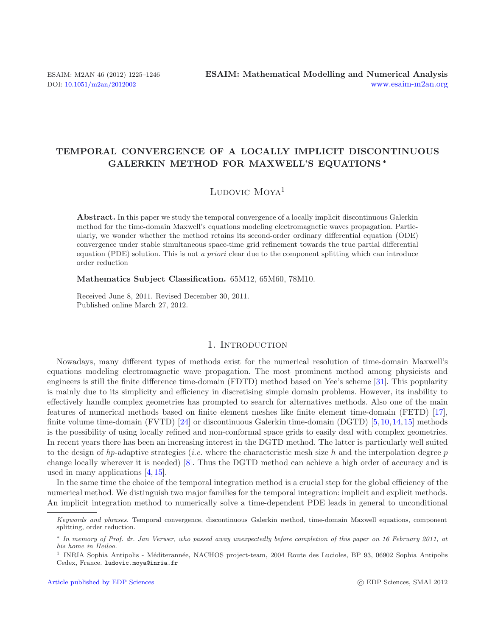# **TEMPORAL CONVERGENCE OF A LOCALLY IMPLICIT DISCONTINUOUS GALERKIN METHOD FOR MAXWELL'S EQUATIONS** *∗*

# Ludovic  $M$ oya<sup>1</sup>

**Abstract.** In this paper we study the temporal convergence of a locally implicit discontinuous Galerkin method for the time-domain Maxwell's equations modeling electromagnetic waves propagation. Particularly, we wonder whether the method retains its second-order ordinary differential equation (ODE) convergence under stable simultaneous space-time grid refinement towards the true partial differential equation (PDE) solution. This is not *a priori* clear due to the component splitting which can introduce order reduction

**Mathematics Subject Classification.** 65M12, 65M60, 78M10.

Received June 8, 2011. Revised December 30, 2011. Published online March 27, 2012.

# 1. INTRODUCTION

Nowadays, many different types of methods exist for the numerical resolution of time-domain Maxwell's equations modeling electromagnetic wave propagation. The most prominent method among physicists and engineers is still the finite difference time-domain (FDTD) method based on Yee's scheme [\[31](#page-21-0)]. This popularity is mainly due to its simplicity and efficiency in discretising simple domain problems. However, its inability to effectively handle complex geometries has prompted to search for alternatives methods. Also one of the main features of numerical methods based on finite element meshes like finite element time-domain (FETD) [\[17](#page-20-0)], finite volume time-domain (FVTD) [\[24\]](#page-21-1) or discontinuous Galerkin time-domain (DGTD) [\[5](#page-20-1),[10](#page-20-2),[14,](#page-20-3)[15\]](#page-20-4) methods is the possibility of using locally refined and non-conformal space grids to easily deal with complex geometries. In recent years there has been an increasing interest in the DGTD method. The latter is particularly well suited to the design of *hp*-adaptive strategies (*i.e.* where the characteristic mesh size h and the interpolation degree p change locally wherever it is needed) [\[8\]](#page-20-5). Thus the DGTD method can achieve a high order of accuracy and is used in many applications [\[4,](#page-20-6) [15\]](#page-20-4).

In the same time the choice of the temporal integration method is a crucial step for the global efficiency of the numerical method. We distinguish two major families for the temporal integration: implicit and explicit methods. An implicit integration method to numerically solve a time-dependent PDE leads in general to unconditional

Keywords and phrases. Temporal convergence, discontinuous Galerkin method, time-domain Maxwell equations, component splitting, order reduction.

<sup>∗</sup> In memory of Prof. dr. Jan Verwer, who passed away unexpectedly before completion of this paper on 16 February 2011, at his home in Heiloo.

<sup>&</sup>lt;sup>1</sup> INRIA Sophia Antipolis - Méditerannée, NACHOS project-team, 2004 Route des Lucioles, BP 93, 06902 Sophia Antipolis Cedex, France. ludovic.moya@inria.fr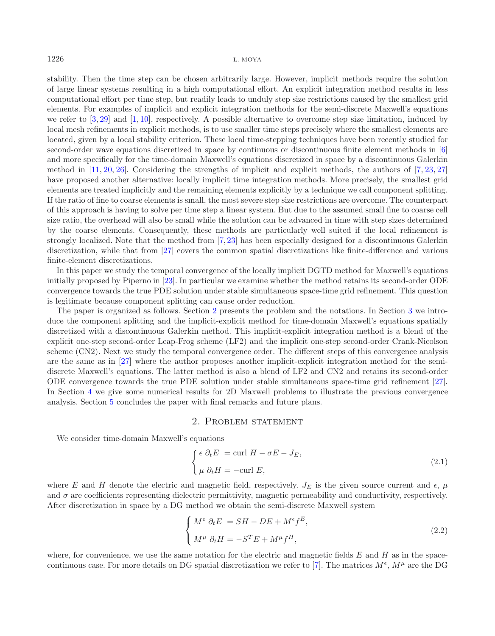stability. Then the time step can be chosen arbitrarily large. However, implicit methods require the solution of large linear systems resulting in a high computational effort. An explicit integration method results in less computational effort per time step, but readily leads to unduly step size restrictions caused by the smallest grid elements. For examples of implicit and explicit integration methods for the semi-discrete Maxwell's equations we refer to  $[3, 29]$  $[3, 29]$  $[3, 29]$  $[3, 29]$  and  $[1, 10]$  $[1, 10]$  $[1, 10]$ , respectively. A possible alternative to overcome step size limitation, induced by local mesh refinements in explicit methods, is to use smaller time steps precisely where the smallest elements are located, given by a local stability criterion. These local time-stepping techniques have been recently studied for second-order wave equations discretized in space by continuous or discontinuous finite element methods in [\[6\]](#page-20-9) and more specifically for the time-domain Maxwell's equations discretized in space by a discontinuous Galerkin method in [\[11,](#page-20-10) [20,](#page-20-11) [26\]](#page-21-3). Considering the strengths of implicit and explicit methods, the authors of [\[7](#page-20-12), [23](#page-21-4), [27\]](#page-21-5) have proposed another alternative: locally implicit time integration methods. More precisely, the smallest grid elements are treated implicitly and the remaining elements explicitly by a technique we call component splitting. If the ratio of fine to coarse elements is small, the most severe step size restrictions are overcome. The counterpart of this approach is having to solve per time step a linear system. But due to the assumed small fine to coarse cell size ratio, the overhead will also be small while the solution can be advanced in time with step sizes determined by the coarse elements. Consequently, these methods are particularly well suited if the local refinement is strongly localized. Note that the method from [\[7,](#page-20-12) [23](#page-21-4)] has been especially designed for a discontinuous Galerkin discretization, while that from [\[27\]](#page-21-5) covers the common spatial discretizations like finite-difference and various finite-element discretizations.

In this paper we study the temporal convergence of the locally implicit DGTD method for Maxwell's equations initially proposed by Piperno in [\[23\]](#page-21-4). In particular we examine whether the method retains its second-order ODE convergence towards the true PDE solution under stable simultaneous space-time grid refinement. This question is legitimate because component splitting can cause order reduction.

The paper is organized as follows. Section [2](#page-1-0) presents the problem and the notations. In Section [3](#page-3-0) we introduce the component splitting and the implicit-explicit method for time-domain Maxwell's equations spatially discretized with a discontinuous Galerkin method. This implicit-explicit integration method is a blend of the explicit one-step second-order Leap-Frog scheme (LF2) and the implicit one-step second-order Crank-Nicolson scheme (CN2). Next we study the temporal convergence order. The different steps of this convergence analysis are the same as in [\[27\]](#page-21-5) where the author proposes another implicit-explicit integration method for the semidiscrete Maxwell's equations. The latter method is also a blend of LF2 and CN2 and retains its second-order ODE convergence towards the true PDE solution under stable simultaneous space-time grid refinement [\[27](#page-21-5)]. In Section [4](#page-13-0) we give some numerical results for 2D Maxwell problems to illustrate the previous convergence analysis. Section [5](#page-18-0) concludes the paper with final remarks and future plans.

### <span id="page-1-1"></span>2. Problem statement

<span id="page-1-0"></span>We consider time-domain Maxwell's equations

$$
\begin{cases}\n\epsilon \ \partial_t E = \text{curl } H - \sigma E - J_E, \\
\mu \ \partial_t H = -\text{curl } E,\n\end{cases}
$$
\n(2.1)

where E and H denote the electric and magnetic field, respectively.  $J_E$  is the given source current and  $\epsilon$ ,  $\mu$ and  $\sigma$  are coefficients representing dielectric permittivity, magnetic permeability and conductivity, respectively. After discretization in space by a DG method we obtain the semi-discrete Maxwell system

$$
\begin{cases}\nM^{\epsilon} \partial_t E = SH - DE + M^{\epsilon} f^E, \\
M^{\mu} \partial_t H = -S^T E + M^{\mu} f^H,\n\end{cases}
$$
\n(2.2)

where, for convenience, we use the same notation for the electric and magnetic fields  $E$  and  $H$  as in the space-continuous case. For more details on DG spatial discretization we refer to [\[7](#page-20-12)]. The matrices  $M^{\epsilon}$ ,  $M^{\mu}$  are the DG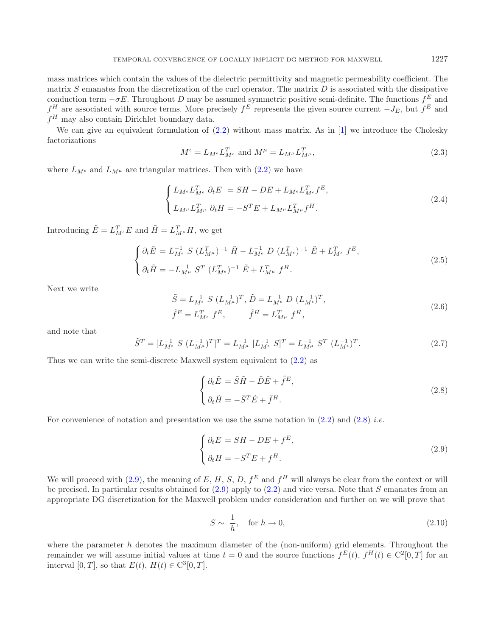mass matrices which contain the values of the dielectric permittivity and magnetic permeability coefficient. The matrix  $S$  emanates from the discretization of the curl operator. The matrix  $D$  is associated with the dissipative conduction term  $-\sigma E$ . Throughout D may be assumed symmetric positive semi-definite. The functions  $f<sup>E</sup>$  and  $f^H$  are associated with source terms. More precisely  $f^E$  represents the given source current  $-J_E$ , but  $f^E$  and  $f^H$  may also contain Dirichlet boundary data.

We can give an equivalent formulation of  $(2.2)$  without mass matrix. As in [\[1](#page-20-8)] we introduce the Cholesky factorizations

$$
M^{\epsilon} = L_{M^{\epsilon}} L_{M^{\epsilon}}^T \text{ and } M^{\mu} = L_{M^{\mu}} L_{M^{\mu}}^T,
$$
\n(2.3)

<span id="page-2-2"></span>where  $L_{M^e}$  and  $L_{M^{\mu}}$  are triangular matrices. Then with  $(2.2)$  we have

<span id="page-2-0"></span>
$$
\begin{cases}\nL_{M^{\epsilon}} L_{M^{\epsilon}}^T \partial_t E = SH - DE + L_{M^{\epsilon}} L_{M^{\epsilon}}^T f^E, \\
L_{M^{\mu}} L_{M^{\mu}}^T \partial_t H = -S^T E + L_{M^{\mu}} L_{M^{\mu}}^T f^H.\n\end{cases} \tag{2.4}
$$

Introducing  $\tilde{E} = L_{M^{\epsilon}}^T E$  and  $\tilde{H} = L_{M^{\mu}}^T H$ , we get

$$
\begin{cases} \partial_t \tilde{E} = L_{M^{\epsilon}}^{-1} S (L_{M^{\mu}}^T)^{-1} \tilde{H} - L_{M^{\epsilon}}^{-1} D (L_{M^{\epsilon}}^T)^{-1} \tilde{E} + L_{M^{\epsilon}}^T f^E, \\ \partial_t \tilde{H} = -L_{M^{\mu}}^{-1} S^T (L_{M^{\epsilon}}^T)^{-1} \tilde{E} + L_{M^{\mu}}^T f^H. \end{cases}
$$
(2.5)

Next we write

$$
\tilde{S} = L_{M^{\epsilon}}^{-1} S (L_{M^{\mu}}^{-1})^T, \tilde{D} = L_{M^{\epsilon}}^{-1} D (L_{M^{\epsilon}}^{-1})^T,
$$
  
\n
$$
\tilde{f}^E = L_{M^{\epsilon}}^T f^E, \qquad \tilde{f}^H = L_{M^{\mu}}^T f^H,
$$
\n(2.6)

and note that

$$
\tilde{S}^T = [L_{M^{\epsilon}}^{-1} S (L_{M^{\mu}}^{-1})^T]^T = L_{M^{\mu}}^{-1} [L_{M^{\epsilon}}^{-1} S]^T = L_{M^{\mu}}^{-1} S^T (L_{M^{\epsilon}}^{-1})^T.
$$
\n(2.7)

Thus we can write the semi-discrete Maxwell system equivalent to [\(2.2\)](#page-1-1) as

<span id="page-2-3"></span><span id="page-2-1"></span>
$$
\begin{cases} \partial_t \tilde{E} = \tilde{S}\tilde{H} - \tilde{D}\tilde{E} + \tilde{f}^E, \\ \partial_t \tilde{H} = -\tilde{S}^T \tilde{E} + \tilde{f}^H. \end{cases}
$$
(2.8)

For convenience of notation and presentation we use the same notation in [\(2.2\)](#page-1-1) and [\(2.8\)](#page-2-0) *i.e.*

$$
\begin{cases} \partial_t E = SH - DE + f^E, \\ \partial_t H = -S^T E + f^H. \end{cases}
$$
\n(2.9)

We will proceed with [\(2.9\)](#page-2-1), the meaning of E, H, S, D,  $f^E$  and  $f^H$  will always be clear from the context or will be precised. In particular results obtained for  $(2.9)$  apply to  $(2.2)$  and vice versa. Note that S emanates from an appropriate DG discretization for the Maxwell problem under consideration and further on we will prove that

$$
S \sim \frac{1}{h}, \quad \text{for } h \to 0,
$$
\n
$$
(2.10)
$$

where the parameter  $h$  denotes the maximum diameter of the (non-uniform) grid elements. Throughout the remainder we will assume initial values at time  $t = 0$  and the source functions  $f^{E}(t)$ ,  $f^{H}(t) \in C^{2}[0, T]$  for an interval [0, T], so that  $E(t)$ ,  $H(t) \in \mathbb{C}^3[0,T]$ .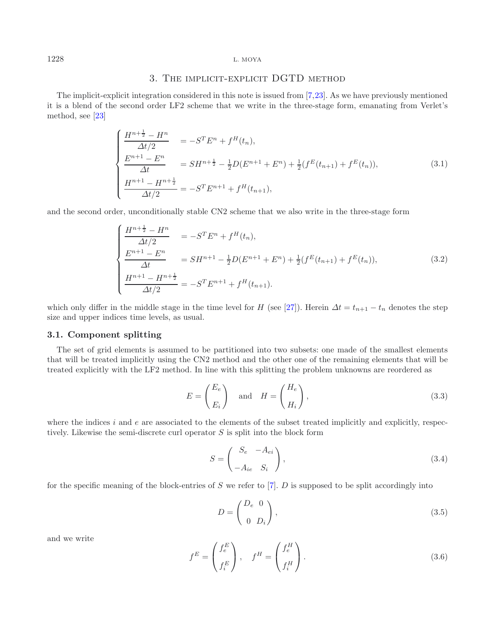# 3. The implicit-explicit DGTD method

<span id="page-3-2"></span><span id="page-3-0"></span>The implicit-explicit integration considered in this note is issued from [\[7,](#page-20-12)[23\]](#page-21-4). As we have previously mentioned it is a blend of the second order LF2 scheme that we write in the three-stage form, emanating from Verlet's method, see [\[23\]](#page-21-4)

$$
\begin{cases}\n\frac{H^{n+\frac{1}{2}} - H^n}{\Delta t/2} & = -S^T E^n + f^H(t_n), \\
\frac{E^{n+1} - E^n}{\Delta t} & = SH^{n+\frac{1}{2}} - \frac{1}{2}D(E^{n+1} + E^n) + \frac{1}{2}(f^E(t_{n+1}) + f^E(t_n)), \\
\frac{H^{n+1} - H^{n+\frac{1}{2}}}{\Delta t/2} & = -S^T E^{n+1} + f^H(t_{n+1}),\n\end{cases} (3.1)
$$

and the second order, unconditionally stable CN2 scheme that we also write in the three-stage form

$$
\begin{cases}\n\frac{H^{n+\frac{1}{2}} - H^n}{\Delta t/2} & = -S^T E^n + f^H(t_n), \\
\frac{E^{n+1} - E^n}{\Delta t} & = SH^{n+1} - \frac{1}{2}D(E^{n+1} + E^n) + \frac{1}{2}(f^E(t_{n+1}) + f^E(t_n)), \\
\frac{H^{n+1} - H^{n+\frac{1}{2}}}{\Delta t/2} & = -S^T E^{n+1} + f^H(t_{n+1}).\n\end{cases} (3.2)
$$

which only differ in the middle stage in the time level for H (see [\[27](#page-21-5)]). Herein  $\Delta t = t_{n+1} - t_n$  denotes the step size and upper indices time levels, as usual.

# **3.1. Component splitting**

The set of grid elements is assumed to be partitioned into two subsets: one made of the smallest elements that will be treated implicitly using the CN2 method and the other one of the remaining elements that will be treated explicitly with the LF2 method. In line with this splitting the problem unknowns are reordered as

<span id="page-3-1"></span>
$$
E = \begin{pmatrix} E_e \\ E_i \end{pmatrix} \quad \text{and} \quad H = \begin{pmatrix} H_e \\ H_i \end{pmatrix}, \tag{3.3}
$$

where the indices  $i$  and  $e$  are associated to the elements of the subset treated implicitly and explicitly, respectively. Likewise the semi-discrete curl operator  $S$  is split into the block form

$$
S = \begin{pmatrix} S_e & -A_{ei} \\ -A_{ie} & S_i \end{pmatrix},
$$
\n(3.4)

for the specific meaning of the block-entries of S we refer to  $[7]$  $[7]$ . D is supposed to be split accordingly into

$$
D = \begin{pmatrix} D_e & 0 \\ 0 & D_i \end{pmatrix},\tag{3.5}
$$

and we write

$$
f^{E} = \begin{pmatrix} f^{E}_{e} \\ f^{E}_{i} \end{pmatrix}, \quad f^{H} = \begin{pmatrix} f^{H}_{e} \\ f^{H}_{i} \end{pmatrix}.
$$
 (3.6)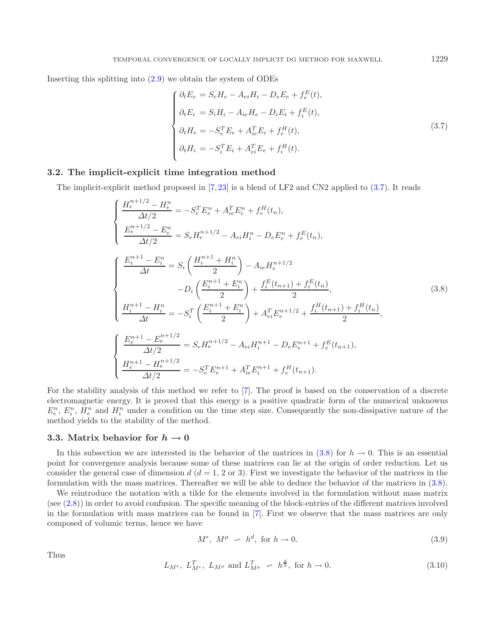Inserting this splitting into [\(2.9\)](#page-2-1) we obtain the system of ODEs

<span id="page-4-1"></span><span id="page-4-0"></span>
$$
\begin{cases}\n\partial_t E_e = S_e H_e - A_{ei} H_i - D_e E_e + f_e^E(t), \\
\partial_t E_i = S_i H_i - A_{ie} H_e - D_i E_i + f_i^E(t), \\
\partial_t H_e = -S_e^T E_e + A_{ie}^T E_i + f_e^H(t), \\
\partial_t H_i = -S_i^T E_i + A_{ei}^T E_e + f_i^H(t).\n\end{cases} (3.7)
$$

### **3.2. The implicit-explicit time integration method**

The implicit-explicit method proposed in [\[7](#page-20-12), [23](#page-21-4)] is a blend of LF2 and CN2 applied to [\(3.7\)](#page-4-0). It reads

$$
\begin{cases}\n\frac{H_e^{n+1/2} - H_e^n}{\Delta t/2} = -S_e^T E_e^n + A_{ie}^T E_i^n + f_e^H(t_n), \\
\frac{E_e^{n+1/2} - E_e^n}{\Delta t/2} = S_e H_e^{n+1/2} - A_{ei} H_i^n - D_e E_e^n + f_e^E(t_n), \\
\frac{E_i^{n+1} - E_i^n}{\Delta t} = S_i \left(\frac{H_i^{n+1} + H_i^n}{2}\right) - A_{ie} H_e^{n+1/2} \\
\frac{D_i}{2} \left(\frac{E_i^{n+1} + E_i^n}{2}\right) + \frac{f_e^E(t_{n+1}) + f_e^E(t_n)}{2}, \\
\frac{H_i^{n+1} - H_i^n}{\Delta t} = -S_i^T \left(\frac{E_i^{n+1} + E_i^n}{2}\right) + A_{ei}^T E_e^{n+1/2} + \frac{f_i^H(t_{n+1}) + f_i^H(t_n)}{2}, \\
\frac{E_e^{n+1} - E_e^{n+1/2}}{\Delta t/2} = S_e H_e^{n+1/2} - A_{ei} H_i^{n+1} - D_e E_e^{n+1} + f_e^E(t_{n+1}), \\
\frac{H_e^{n+1} - H_e^{n+1/2}}{\Delta t/2} = -S_e^T E_e^{n+1} + A_{ie}^T E_i^{n+1} + f_e^H(t_{n+1}).\n\end{cases} (3.8)
$$

For the stability analysis of this method we refer to [\[7](#page-20-12)]. The proof is based on the conservation of a discrete electromagnetic energy. It is proved that this energy is a positive quadratic form of the numerical unknowns  $E_e^n$ ,  $E_i^n$ ,  $H_e^n$  and  $H_i^n$  under a condition on the time step size. Consequently the non-dissipative nature of the method yields to the stability of the method.

### **3.3.** Matrix behavior for  $h \to 0$

In this subsection we are interested in the behavior of the matrices in  $(3.8)$  for  $h \to 0$ . This is an essential point for convergence analysis because some of these matrices can lie at the origin of order reduction. Let us consider the general case of dimension d  $(d = 1, 2 \text{ or } 3)$ . First we investigate the behavior of the matrices in the formulation with the mass matrices. Thereafter we will be able to deduce the behavior of the matrices in [\(3.8\)](#page-4-1).

We reintroduce the notation with a tilde for the elements involved in the formulation without mass matrix (see [\(2.8\)](#page-2-0)) in order to avoid confusion. The specific meaning of the block-entries of the different matrices involved in the formulation with mass matrices can be found in [\[7\]](#page-20-12). First we observe that the mass matrices are only composed of volumic terms, hence we have

$$
M^{\epsilon}, M^{\mu} \sim h^{d}, \text{ for } h \to 0. \tag{3.9}
$$

Thus

$$
L_{M^{\epsilon}}, L_{M^{\epsilon}}^T, L_{M^{\mu}} \text{ and } L_{M^{\mu}}^T \sim h^{\frac{d}{2}}, \text{ for } h \to 0.
$$
 (3.10)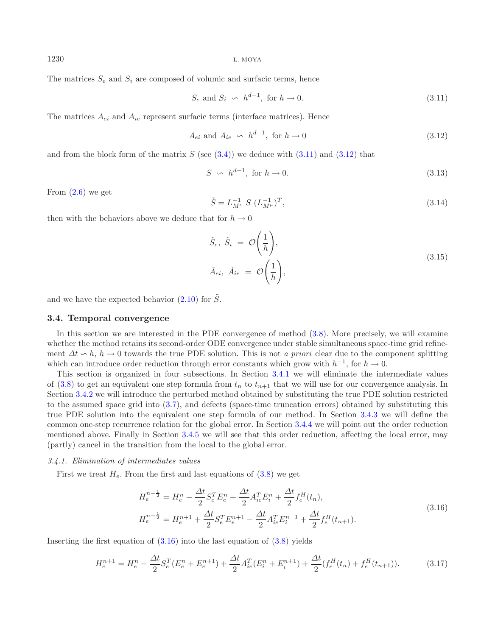The matrices  $S_e$  and  $S_i$  are composed of volumic and surfacic terms, hence

<span id="page-5-4"></span><span id="page-5-1"></span><span id="page-5-0"></span>
$$
S_e \text{ and } S_i \sim h^{d-1}, \text{ for } h \to 0. \tag{3.11}
$$

The matrices  $A_{ei}$  and  $A_{ie}$  represent surfacic terms (interface matrices). Hence

$$
A_{ei} \text{ and } A_{ie} \sim h^{d-1}, \text{ for } h \to 0 \tag{3.12}
$$

and from the block form of the matrix  $S$  (see  $(3.4)$ ) we deduce with  $(3.11)$  and  $(3.12)$  that

$$
S \sim h^{d-1}, \text{ for } h \to 0. \tag{3.13}
$$

From  $(2.6)$  we get

$$
\tilde{S} = L_{M^{\epsilon}}^{-1} S (L_{M^{\mu}}^{-1})^T,
$$
\n(3.14)

then with the behaviors above we deduce that for  $h \to 0$ 

<span id="page-5-3"></span>
$$
\tilde{S}_e, \tilde{S}_i = \mathcal{O}\left(\frac{1}{h}\right), \n\tilde{A}_{ei}, \tilde{A}_{ie} = \mathcal{O}\left(\frac{1}{h}\right),
$$
\n(3.15)

<span id="page-5-5"></span>and we have the expected behavior  $(2.10)$  for  $\tilde{S}$ .

### **3.4. Temporal convergence**

In this section we are interested in the PDE convergence of method  $(3.8)$ . More precisely, we will examine whether the method retains its second-order ODE convergence under stable simultaneous space-time grid refinement  $\Delta t \sim h$ ,  $h \to 0$  towards the true PDE solution. This is not *a priori* clear due to the component splitting which can introduce order reduction through error constants which grow with  $h^{-1}$ , for  $h \to 0$ .

This section is organized in four subsections. In Section [3.4.1](#page-5-2) we will eliminate the intermediate values of [\(3.8\)](#page-4-1) to get an equivalent one step formula from  $t_n$  to  $t_{n+1}$  that we will use for our convergence analysis. In Section [3.4.2](#page-7-0) we will introduce the perturbed method obtained by substituting the true PDE solution restricted to the assumed space grid into [\(3.7\)](#page-4-0), and defects (space-time truncation errors) obtained by substituting this true PDE solution into the equivalent one step formula of our method. In Section [3.4.3](#page-8-0) we will define the common one-step recurrence relation for the global error. In Section [3.4.4](#page-9-0) we will point out the order reduction mentioned above. Finally in Section [3.4.5](#page-10-0) we will see that this order reduction, affecting the local error, may (partly) cancel in the transition from the local to the global error.

### <span id="page-5-2"></span>*3.4.1. Elimination of intermediates values*

First we treat  $H_e$ . From the first and last equations of  $(3.8)$  we get

$$
H_e^{n+\frac{1}{2}} = H_e^n - \frac{\Delta t}{2} S_e^T E_e^n + \frac{\Delta t}{2} A_{ie}^T E_i^n + \frac{\Delta t}{2} f_e^H(t_n),
$$
  
\n
$$
H_e^{n+\frac{1}{2}} = H_e^{n+1} + \frac{\Delta t}{2} S_e^T E_e^{n+1} - \frac{\Delta t}{2} A_{ie}^T E_i^{n+1} + \frac{\Delta t}{2} f_e^H(t_{n+1}).
$$
\n(3.16)

Inserting the first equation of  $(3.16)$  into the last equation of  $(3.8)$  yields

$$
H_e^{n+1} = H_e^n - \frac{\Delta t}{2} S_e^T (E_e^n + E_e^{n+1}) + \frac{\Delta t}{2} A_{ie}^T (E_i^n + E_i^{n+1}) + \frac{\Delta t}{2} (f_e^H(t_n) + f_e^H(t_{n+1})).
$$
 (3.17)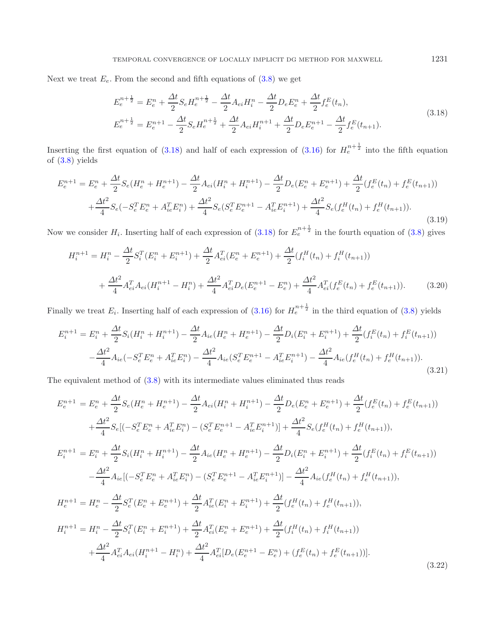Next we treat  $E_e$ . From the second and fifth equations of  $(3.8)$  we get

<span id="page-6-0"></span>
$$
E_e^{n+\frac{1}{2}} = E_e^n + \frac{\Delta t}{2} S_e H_e^{n+\frac{1}{2}} - \frac{\Delta t}{2} A_{ei} H_i^n - \frac{\Delta t}{2} D_e E_e^n + \frac{\Delta t}{2} f_e^E(t_n),
$$
  
\n
$$
E_e^{n+\frac{1}{2}} = E_e^{n+1} - \frac{\Delta t}{2} S_e H_e^{n+\frac{1}{2}} + \frac{\Delta t}{2} A_{ei} H_i^{n+1} + \frac{\Delta t}{2} D_e E_e^{n+1} - \frac{\Delta t}{2} f_e^E(t_{n+1}).
$$
\n(3.18)

Inserting the first equation of [\(3.18\)](#page-6-0) and half of each expression of [\(3.16\)](#page-5-3) for  $H_e^{n+\frac{1}{2}}$  into the fifth equation of [\(3.8\)](#page-4-1) yields

$$
E_e^{n+1} = E_e^n + \frac{\Delta t}{2} S_e (H_e^n + H_e^{n+1}) - \frac{\Delta t}{2} A_{ei} (H_i^n + H_i^{n+1}) - \frac{\Delta t}{2} D_e (E_e^n + E_e^{n+1}) + \frac{\Delta t}{2} (f_e^E(t_n) + f_e^E(t_{n+1}))
$$
  
+ 
$$
\frac{\Delta t^2}{4} S_e (-S_e^T E_e^n + A_{ie}^T E_i^n) + \frac{\Delta t^2}{4} S_e (S_e^T E_e^{n+1} - A_{ie}^T E_i^{n+1}) + \frac{\Delta t^2}{4} S_e (f_e^H(t_n) + f_e^H(t_{n+1})).
$$
\n(3.19)

Now we consider  $H_i$ . Inserting half of each expression of  $(3.18)$  for  $E_e^{n+\frac{1}{2}}$  in the fourth equation of  $(3.8)$  gives

<span id="page-6-1"></span>
$$
H_{i}^{n+1} = H_{i}^{n} - \frac{\Delta t}{2} S_{i}^{T} (E_{i}^{n} + E_{i}^{n+1}) + \frac{\Delta t}{2} A_{ei}^{T} (E_{e}^{n} + E_{e}^{n+1}) + \frac{\Delta t}{2} (f_{i}^{H}(t_{n}) + f_{i}^{H}(t_{n+1})) + \frac{\Delta t^{2}}{4} A_{ei}^{T} A_{ei} (H_{i}^{n+1} - H_{i}^{n}) + \frac{\Delta t^{2}}{4} A_{ei}^{T} D_{e} (E_{e}^{n+1} - E_{e}^{n}) + \frac{\Delta t^{2}}{4} A_{ei}^{T} (f_{e}^{E}(t_{n}) + f_{e}^{E}(t_{n+1})).
$$
\n(3.20)

Finally we treat  $E_i$ . Inserting half of each expression of  $(3.16)$  for  $H_e^{n+\frac{1}{2}}$  in the third equation of  $(3.8)$  yields

$$
E_i^{n+1} = E_i^n + \frac{\Delta t}{2} S_i (H_i^n + H_i^{n+1}) - \frac{\Delta t}{2} A_{ie} (H_e^n + H_e^{n+1}) - \frac{\Delta t}{2} D_i (E_i^n + E_i^{n+1}) + \frac{\Delta t}{2} (f_i^E(t_n) + f_i^E(t_{n+1}))
$$
  

$$
- \frac{\Delta t^2}{4} A_{ie} (-S_e^T E_e^n + A_{ie}^T E_i^n) - \frac{\Delta t^2}{4} A_{ie} (S_e^T E_e^{n+1} - A_{ie}^T E_i^{n+1}) - \frac{\Delta t^2}{4} A_{ie} (f_e^H(t_n) + f_e^H(t_{n+1})).
$$
\n(3.21)

The equivalent method of [\(3.8\)](#page-4-1) with its intermediate values eliminated thus reads

$$
E_{e}^{n+1} = E_{e}^{n} + \frac{\Delta t}{2} S_{e} (H_{e}^{n} + H_{e}^{n+1}) - \frac{\Delta t}{2} A_{ei} (H_{i}^{n} + H_{i}^{n+1}) - \frac{\Delta t}{2} D_{e} (E_{e}^{n} + E_{e}^{n+1}) + \frac{\Delta t}{2} (f_{e}^{E}(t_{n}) + f_{e}^{E}(t_{n+1}))
$$
  
\n
$$
+ \frac{\Delta t^{2}}{4} S_{e} [(-S_{e}^{T} E_{e}^{n} + A_{ie}^{T} E_{i}^{n}) - (S_{e}^{T} E_{e}^{n+1} - A_{ie}^{T} E_{i}^{n+1})] + \frac{\Delta t^{2}}{4} S_{e} (f_{e}^{H}(t_{n}) + f_{e}^{H}(t_{n+1})),
$$
  
\n
$$
E_{i}^{n+1} = E_{i}^{n} + \frac{\Delta t}{2} S_{i} (H_{i}^{n} + H_{i}^{n+1}) - \frac{\Delta t}{2} A_{ie} (H_{e}^{n} + H_{e}^{n+1}) - \frac{\Delta t}{2} D_{i} (E_{i}^{n} + E_{i}^{n+1}) + \frac{\Delta t}{2} (f_{i}^{E}(t_{n}) + f_{i}^{E}(t_{n+1}))
$$
  
\n
$$
- \frac{\Delta t^{2}}{4} A_{ie} [(-S_{e}^{T} E_{e}^{n} + A_{ie}^{T} E_{i}^{n}) - (S_{e}^{T} E_{e}^{n+1} - A_{ie}^{T} E_{i}^{n+1})] - \frac{\Delta t^{2}}{4} A_{ie} (f_{e}^{H}(t_{n}) + f_{e}^{H}(t_{n+1})),
$$
  
\n
$$
H_{e}^{n+1} = H_{e}^{n} - \frac{\Delta t}{2} S_{e}^{T} (E_{e}^{n} + E_{e}^{n+1}) + \frac{\Delta t}{2} A_{ie}^{T} (E_{i}^{n} + E_{i}^{n+1}) + \frac{\Delta t}{2} (f_{e}^{H}(t_{n}) + f_{e}^{H}(t_{n+1})),
$$
  
\n
$$
H_{i}^{n+1} = H_{i}^{n} - \frac{\Delta t}{2} S_{i}^{T} (E_{
$$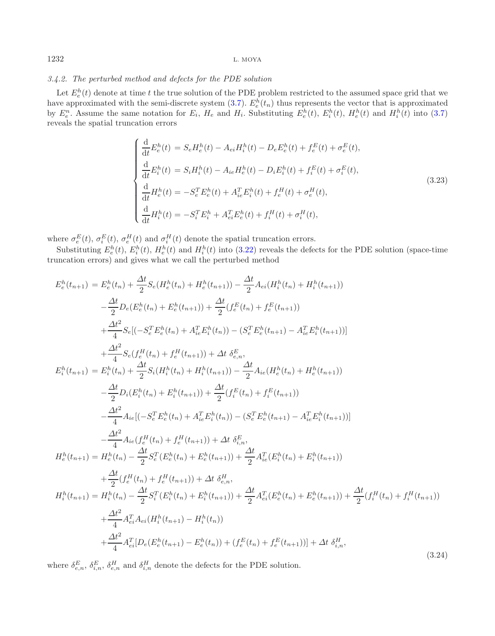# <span id="page-7-0"></span>*3.4.2. The perturbed method and defects for the PDE solution*

Let  $E_e^h(t)$  denote at time t the true solution of the PDE problem restricted to the assumed space grid that we have approximated with the semi-discrete system  $(3.7)$ .  $E_e^{\overline{h}}(t_n)$  thus represents the vector that is approximated by  $E_e^n$ . Assume the same notation for  $E_i$ ,  $H_e$  and  $H_i$ . Substituting  $E_e^h(t)$ ,  $E_i^h(t)$ ,  $H_e^h(t)$  and  $H_i^h(t)$  into [\(3.7\)](#page-4-0) reveals the spatial truncation errors

<span id="page-7-2"></span>
$$
\begin{cases}\n\frac{\mathrm{d}}{\mathrm{d}t}E_e^h(t) = S_e H_e^h(t) - A_{ei} H_i^h(t) - D_e E_e^h(t) + f_e^E(t) + \sigma_e^E(t), \\
\frac{\mathrm{d}}{\mathrm{d}t}E_i^h(t) = S_i H_i^h(t) - A_{ie} H_e^h(t) - D_i E_i^h(t) + f_i^E(t) + \sigma_i^E(t), \\
\frac{\mathrm{d}}{\mathrm{d}t}H_e^h(t) = -S_e^T E_e^h(t) + A_{ie}^T E_i^h(t) + f_e^H(t) + \sigma_e^H(t), \\
\frac{\mathrm{d}}{\mathrm{d}t}H_i^h(t) = -S_i^T E_i^h + A_{ei}^T E_e^h(t) + f_i^H(t) + \sigma_i^H(t),\n\end{cases}
$$
\n(3.23)

where  $\sigma_e^E(t)$ ,  $\sigma_i^E(t)$ ,  $\sigma_e^H(t)$  and  $\sigma_i^H(t)$  denote the spatial truncation errors.

Substituting  $E_e^h(t)$ ,  $E_i^h(t)$ ,  $H_e^h(t)$  and  $H_i^h(t)$  into [\(3.22\)](#page-6-1) reveals the defects for the PDE solution (space-time truncation errors) and gives what we call the perturbed method

$$
E_{e}^{h}(t_{n+1}) = E_{e}^{h}(t_{n}) + \frac{\Delta t}{2} S_{e}(H_{e}^{h}(t_{n}) + H_{e}^{h}(t_{n+1})) - \frac{\Delta t}{2} A_{ei}(H_{i}^{h}(t_{n}) + H_{i}^{h}(t_{n+1}))
$$
  
\n
$$
- \frac{\Delta t}{2} D_{e}(E_{e}^{h}(t_{n}) + E_{e}^{h}(t_{n+1})) + \frac{\Delta t}{2} (f_{e}^{E}(t_{n}) + f_{e}^{E}(t_{n+1}))
$$
  
\n
$$
+ \frac{\Delta t^{2}}{4} S_{e} [(-S_{e}^{T} E_{e}^{h}(t_{n}) + A_{ie}^{T} E_{i}^{h}(t_{n})) - (S_{e}^{T} E_{e}^{h}(t_{n+1}) - A_{ie}^{T} E_{i}^{h}(t_{n+1}))]
$$
  
\n
$$
+ \frac{\Delta t^{2}}{4} S_{e}(f_{e}^{H}(t_{n}) + f_{e}^{H}(t_{n+1})) + \Delta t \delta_{e,n}^{E},
$$
  
\n
$$
E_{i}^{h}(t_{n+1}) = E_{i}^{h}(t_{n}) + \frac{\Delta t}{2} S_{i}(H_{i}^{h}(t_{n}) + H_{i}^{h}(t_{n+1})) - \frac{\Delta t}{2} A_{ie}(H_{e}^{h}(t_{n}) + H_{e}^{h}(t_{n+1}))
$$
  
\n
$$
- \frac{\Delta t}{2} D_{i}(E_{i}^{h}(t_{n}) + E_{i}^{h}(t_{n+1})) + \frac{\Delta t}{2} (f_{e}^{E}(t_{n}) + f_{e}^{E}(t_{n+1}))
$$
  
\n
$$
- \frac{\Delta t^{2}}{2} A_{ie}(f_{e}^{H}(t_{n}) + f_{e}^{H}(t_{n+1})) + \Delta t \delta_{i,n}^{E},
$$
  
\n
$$
H_{e}^{h}(t_{n+1}) = H_{e}^{h}(t_{n}) - \frac{\Delta t}{2} S_{e}^{T}(E_{e}^{h}(t_{n}) + E_{e}^{h}(t_{n+1})) + \Delta t \delta_{i,n}^{E},
$$
  
\n
$$
H_{e}^{h}(t_{n+1}) = H_{e}^{h}(t_{n}) - \frac{\Delta
$$

where  $\delta_{e,n}^E$ ,  $\delta_{i,n}^E$ ,  $\delta_{e,n}^H$  and  $\delta_{i,n}^H$  denote the defects for the PDE solution.

<span id="page-7-1"></span>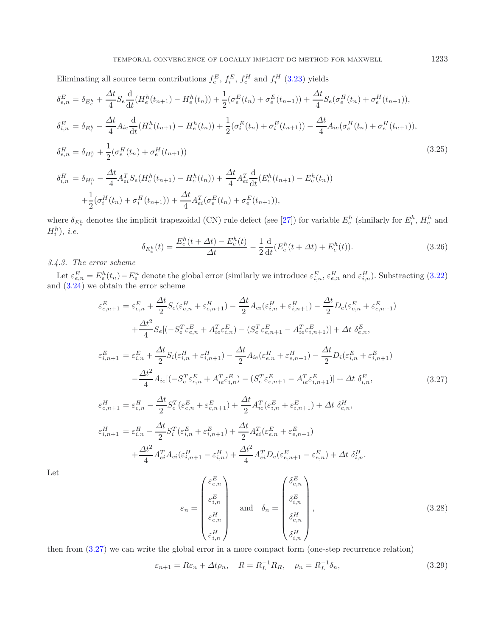<span id="page-8-4"></span>Eliminating all source term contributions  $f_e^E$ ,  $f_i^E$ ,  $f_e^H$  and  $f_i^H$  [\(3.23\)](#page-7-1) yields

<span id="page-8-3"></span>
$$
\delta_{e,n}^{E} = \delta_{E_{e}^{h}} + \frac{\Delta t}{4} S_{e} \frac{d}{dt} (H_{e}^{h}(t_{n+1}) - H_{e}^{h}(t_{n})) + \frac{1}{2} (\sigma_{e}^{E}(t_{n}) + \sigma_{e}^{E}(t_{n+1})) + \frac{\Delta t}{4} S_{e} (\sigma_{e}^{H}(t_{n}) + \sigma_{e}^{H}(t_{n+1})),
$$
  
\n
$$
\delta_{i,n}^{E} = \delta_{E_{i}^{h}} - \frac{\Delta t}{4} A_{ie} \frac{d}{dt} (H_{e}^{h}(t_{n+1}) - H_{e}^{h}(t_{n})) + \frac{1}{2} (\sigma_{i}^{E}(t_{n}) + \sigma_{i}^{E}(t_{n+1})) - \frac{\Delta t}{4} A_{ie} (\sigma_{e}^{H}(t_{n}) + \sigma_{e}^{H}(t_{n+1})),
$$
  
\n
$$
\delta_{e,n}^{H} = \delta_{H_{e}^{h}} + \frac{1}{2} (\sigma_{e}^{H}(t_{n}) + \sigma_{e}^{H}(t_{n+1}))
$$
  
\n
$$
\delta_{i,n}^{H} = \delta_{H_{i}^{h}} - \frac{\Delta t}{4} A_{ei}^{T} S_{e} (H_{e}^{h}(t_{n+1}) - H_{e}^{h}(t_{n})) + \frac{\Delta t}{4} A_{ei}^{T} \frac{d}{dt} (E_{e}^{h}(t_{n+1}) - E_{e}^{h}(t_{n}))
$$
  
\n
$$
+ \frac{1}{2} (\sigma_{i}^{H}(t_{n}) + \sigma_{i}^{H}(t_{n+1})) + \frac{\Delta t}{4} A_{ei}^{T} (\sigma_{e}^{E}(t_{n}) + \sigma_{e}^{E}(t_{n+1})),
$$
\n(3.25)

where  $\delta_{E_e^h}$  denotes the implicit trapezoidal (CN) rule defect (see [\[27\]](#page-21-5)) for variable  $E_e^h$  (similarly for  $E_i^h$ ,  $H_e^h$  and  $H_i^h$ , *i.e.* 

<span id="page-8-1"></span>
$$
\delta_{E_e^h}(t) = \frac{E_e^h(t + \Delta t) - E_e^h(t)}{\Delta t} - \frac{1}{2} \frac{d}{dt} (E_e^h(t + \Delta t) + E_e^h(t)).
$$
\n(3.26)

### <span id="page-8-0"></span>*3.4.3. The error scheme*

Let  $\varepsilon_{e,n}^E = E_e^h(t_n) - E_e^n$  denote the global error (similarly we introduce  $\varepsilon_{i,n}^E$ ,  $\varepsilon_{e,n}^H$  and  $\varepsilon_{i,n}^H$ ). Substracting [\(3.22\)](#page-6-1) and [\(3.24\)](#page-7-2) we obtain the error scheme

$$
\varepsilon_{e,n+1}^{E} = \varepsilon_{e,n}^{E} + \frac{\Delta t}{2} S_e(\varepsilon_{e,n}^{H} + \varepsilon_{e,n+1}^{H}) - \frac{\Delta t}{2} A_{ei}(\varepsilon_{i,n}^{H} + \varepsilon_{i,n+1}^{H}) - \frac{\Delta t}{2} D_e(\varepsilon_{e,n}^{E} + \varepsilon_{e,n+1}^{E}) \n+ \frac{\Delta t^2}{4} S_e[(-S_e^T \varepsilon_{e,n}^{E} + A_{ie}^T \varepsilon_{i,n}^{E}) - (S_e^T \varepsilon_{e,n+1}^{E} - A_{ie}^T \varepsilon_{i,n+1}^{E})] + \Delta t \delta_{e,n}^{E},
$$
\n
$$
\varepsilon_{i,n+1}^{E} = \varepsilon_{i,n}^{E} + \frac{\Delta t}{2} S_i(\varepsilon_{i,n}^{H} + \varepsilon_{i,n+1}^{H}) - \frac{\Delta t}{2} A_{ie}(\varepsilon_{e,n}^{H} + \varepsilon_{e,n+1}^{H}) - \frac{\Delta t}{2} D_i(\varepsilon_{i,n}^{E} + \varepsilon_{i,n+1}^{E}) \n- \frac{\Delta t^2}{4} A_{ie} [(-S_e^T \varepsilon_{e,n}^{E} + A_{ie}^T \varepsilon_{i,n}^{E}) - (S_e^T \varepsilon_{e,n+1}^{E} - A_{ie}^T \varepsilon_{i,n+1}^{E})] + \Delta t \delta_{i,n}^{E},
$$
\n
$$
\varepsilon_{e,n+1}^{H} = \varepsilon_{e,n}^{H} - \frac{\Delta t}{2} S_e^T(\varepsilon_{e,n}^{E} + \varepsilon_{e,n+1}^{E}) + \frac{\Delta t}{2} A_{ie}^T(\varepsilon_{i,n}^{E} + \varepsilon_{i,n+1}^{E}) + \Delta t \delta_{e,n}^{H},
$$
\n
$$
H = \frac{\Delta t}{2} A_{ie}^T(\varepsilon_{e,n}^{E} + \varepsilon_{e,n+1}^{E}) - \frac{\Delta t}{2} A_{ie}^T(\varepsilon_{e,n}^{E} + \varepsilon_{i,n+1}^{E}) + \Delta t \delta_{e,n}^{H},
$$
\n(3.27)

$$
\varepsilon_{i,n+1}^{H} = \varepsilon_{i,n}^{H} - \frac{\Delta t}{2} S_{i}^{T} (\varepsilon_{i,n}^{E} + \varepsilon_{i,n+1}^{E}) + \frac{\Delta t}{2} A_{ei}^{T} (\varepsilon_{e,n}^{E} + \varepsilon_{e,n+1}^{E}) + \frac{\Delta t^{2}}{4} A_{ei}^{T} A_{ei} (\varepsilon_{i,n+1}^{H} - \varepsilon_{i,n}^{H}) + \frac{\Delta t^{2}}{4} A_{ei}^{T} D_{e} (\varepsilon_{e,n+1}^{E} - \varepsilon_{e,n}^{E}) + \Delta t \delta_{i,n}^{H}.
$$

Let

<span id="page-8-2"></span>
$$
\varepsilon_n = \begin{pmatrix} \varepsilon_{e,n}^E \\ \varepsilon_{i,n}^E \\ \varepsilon_{i,n}^H \\ \varepsilon_{i,n}^H \end{pmatrix} \quad \text{and} \quad \delta_n = \begin{pmatrix} \delta_{e,n}^E \\ \delta_{e,n}^E \\ \delta_{i,n}^H \\ \delta_{i,n}^H \end{pmatrix}, \tag{3.28}
$$

then from [\(3.27\)](#page-8-1) we can write the global error in a more compact form (one-step recurrence relation)

$$
\varepsilon_{n+1} = R\varepsilon_n + \Delta t \rho_n, \quad R = R_L^{-1} R_R, \quad \rho_n = R_L^{-1} \delta_n,
$$
\n(3.29)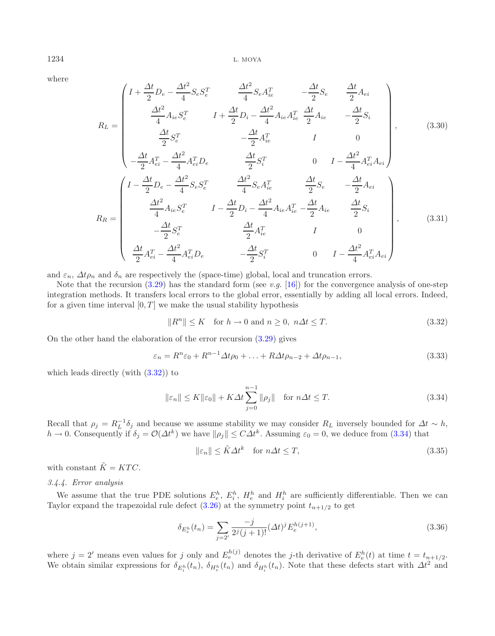where

$$
R_{L} = \begin{pmatrix} I + \frac{\Delta t}{2} D_{e} - \frac{\Delta t^{2}}{4} S_{e} S_{e}^{T} & \frac{\Delta t^{2}}{4} S_{e} A_{ie}^{T} & -\frac{\Delta t}{2} S_{e} & \frac{\Delta t}{2} A_{ei} \\ \frac{\Delta t^{2}}{4} A_{ie} S_{e}^{T} & I + \frac{\Delta t}{2} D_{i} - \frac{\Delta t^{2}}{4} A_{ie} A_{ie}^{T} & \frac{\Delta t}{2} A_{ie} & -\frac{\Delta t}{2} S_{i} \\ \frac{\Delta t}{2} S_{e}^{T} & -\frac{\Delta t}{2} A_{ie}^{T} & I & 0 \\ -\frac{\Delta t}{2} A_{ei}^{T} - \frac{\Delta t^{2}}{4} A_{ei}^{T} D_{e} & \frac{\Delta t}{2} S_{i}^{T} & 0 & I - \frac{\Delta t^{2}}{4} A_{ei}^{T} A_{ei} \end{pmatrix}, \qquad (3.30)
$$
\n
$$
R_{R} = \begin{pmatrix} I - \frac{\Delta t}{2} D_{e} - \frac{\Delta t^{2}}{4} S_{e} S_{e}^{T} & \frac{\Delta t^{2}}{4} S_{e} A_{ie}^{T} & \frac{\Delta t}{2} S_{e} & -\frac{\Delta t}{2} A_{ei} \\ \frac{\Delta t^{2}}{4} A_{ie} S_{e}^{T} & I - \frac{\Delta t}{2} D_{i} - \frac{\Delta t^{2}}{4} A_{ie} A_{ie}^{T} - \frac{\Delta t}{2} A_{ie} & \frac{\Delta t}{2} S_{i} \\ -\frac{\Delta t}{2} S_{e}^{T} & \frac{\Delta t}{2} A_{ie}^{T} & I & 0 \\ \frac{\Delta t}{2} A_{ei}^{T} - \frac{\Delta t^{2}}{4} A_{ei}^{T} D_{e} & -\frac{\Delta t}{2} S_{i}^{T} & 0 & I - \frac{\Delta t^{2}}{4} A_{ei}^{T} A_{ei} \end{pmatrix}, \qquad (3.31)
$$

<span id="page-9-2"></span>and  $\varepsilon_n$ ,  $\Delta t \rho_n$  and  $\delta_n$  are respectively the (space-time) global, local and truncation errors.

Note that the recursion  $(3.29)$  has the standard form (see *v.g.* [\[16\]](#page-20-13)) for the convergence analysis of one-step integration methods. It transfers local errors to the global error, essentially by adding all local errors. Indeed, for a given time interval  $[0, T]$  we make the usual stability hypothesis

<span id="page-9-3"></span><span id="page-9-1"></span>
$$
||R^n|| \le K \quad \text{for } h \to 0 \text{ and } n \ge 0, \ n\Delta t \le T. \tag{3.32}
$$

On the other hand the elaboration of the error recursion [\(3.29\)](#page-8-2) gives

$$
\varepsilon_n = R^n \varepsilon_0 + R^{n-1} \Delta t \rho_0 + \ldots + R \Delta t \rho_{n-2} + \Delta t \rho_{n-1},\tag{3.33}
$$

which leads directly (with  $(3.32)$ ) to

$$
\|\varepsilon_n\| \le K \|\varepsilon_0\| + K\Delta t \sum_{j=0}^{n-1} \|\rho_j\| \quad \text{for } n\Delta t \le T. \tag{3.34}
$$

Recall that  $\rho_j = R_L^{-1} \delta_j$  and because we assume stability we may consider  $R_L$  inversely bounded for  $\Delta t \sim h$ ,  $h \to 0$ . Consequently if  $\delta_j = \mathcal{O}(\Delta t^k)$  we have  $\|\rho_j\| \leq C\Delta t^k$ . Assuming  $\varepsilon_0 = 0$ , we deduce from [\(3.34\)](#page-9-2) that

$$
\|\varepsilon_n\| \le \tilde{K}\Delta t^k \quad \text{for } n\Delta t \le T,\tag{3.35}
$$

<span id="page-9-0"></span>with constant  $\tilde{K} = KTC$ .

*3.4.4. Error analysis*

We assume that the true PDE solutions  $E_e^h$ ,  $E_i^h$ ,  $H_e^h$  and  $H_i^h$  are sufficiently differentiable. Then we can Taylor expand the trapezoidal rule defect  $(3.26)$  at the symmetry point  $t_{n+1/2}$  to get

$$
\delta_{E_e^h}(t_n) = \sum_{j=2'} \frac{-j}{2^j (j+1)!} (\Delta t)^j E_e^{h(j+1)},\tag{3.36}
$$

where  $j = 2'$  means even values for j only and  $E_e^{h(j)}$  denotes the j-th derivative of  $E_e^h(t)$  at time  $t = t_{n+1/2}$ . We obtain similar expressions for  $\delta_{E_i^h}(t_n)$ ,  $\delta_{H_e^h}(t_n)$  and  $\delta_{H_i^h}(t_n)$ . Note that these defects start with  $\Delta t^2$  and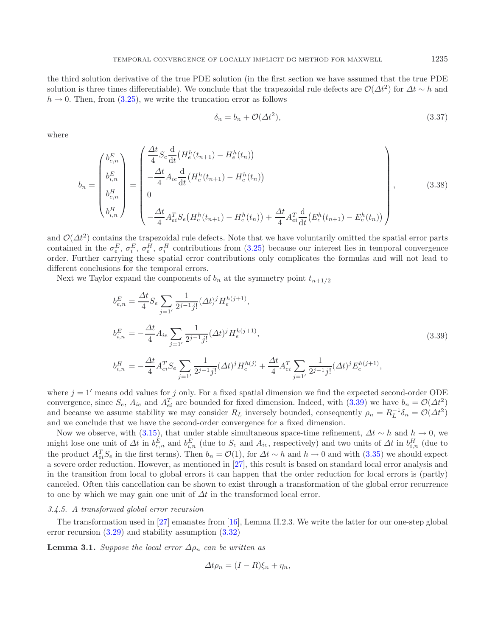the third solution derivative of the true PDE solution (in the first section we have assumed that the true PDE solution is three times differentiable). We conclude that the trapezoidal rule defects are  $\mathcal{O}(\Delta t^2)$  for  $\Delta t \sim h$  and  $h \to 0$ . Then, from [\(3.25\)](#page-8-4), we write the truncation error as follows

<span id="page-10-1"></span>
$$
\delta_n = b_n + \mathcal{O}(\Delta t^2),\tag{3.37}
$$

where

$$
b_{n} = \begin{pmatrix} b_{e,n}^{E} \\ b_{i,n}^{E} \\ b_{i,n}^{H} \\ b_{i,n}^{H} \end{pmatrix} = \begin{pmatrix} \frac{\Delta t}{4} S_{e} \frac{d}{dt} \left( H_{e}^{h}(t_{n+1}) - H_{e}^{h}(t_{n}) \right) \\ -\frac{\Delta t}{4} A_{ie} \frac{d}{dt} \left( H_{e}^{h}(t_{n+1}) - H_{e}^{h}(t_{n}) \right) \\ 0 \\ 0 \end{pmatrix}, \qquad (3.38)
$$

$$
b_{i,n}^{H} = \begin{pmatrix} \frac{\Delta t}{4} S_{e} \frac{d}{dt} \left( H_{e}^{h}(t_{n+1}) - H_{e}^{h}(t_{n}) \right) \\ -\frac{\Delta t}{4} A_{ei}^{T} S_{e} \left( H_{e}^{h}(t_{n+1}) - H_{e}^{h}(t_{n}) \right) + \frac{\Delta t}{4} A_{ei}^{T} \frac{d}{dt} \left( E_{e}^{h}(t_{n+1}) - E_{e}^{h}(t_{n}) \right) \end{pmatrix}, \qquad (3.38)
$$

and  $\mathcal{O}(\Delta t^2)$  contains the trapezoidal rule defects. Note that we have voluntarily omitted the spatial error parts contained in the  $\sigma_e^E$ ,  $\sigma_i^E$ ,  $\sigma_i^H$ ,  $\sigma_i^H$  contributions from [\(3.25\)](#page-8-4) because our interest lies in temporal convergence order. Further carrying these spatial error contributions only complicates the formulas and will not lead to different conclusions for the temporal errors.

Next we Taylor expand the components of  $b_n$  at the symmetry point  $t_{n+1/2}$ 

<span id="page-10-2"></span>
$$
b_{e,n}^{E} = \frac{\Delta t}{4} S_e \sum_{j=1'} \frac{1}{2^{j-1}j!} (\Delta t)^j H_e^{h(j+1)},
$$
  
\n
$$
b_{i,n}^{E} = -\frac{\Delta t}{4} A_{ie} \sum_{j=1'} \frac{1}{2^{j-1}j!} (\Delta t)^j H_e^{h(j+1)},
$$
  
\n
$$
b_{i,n}^{H} = -\frac{\Delta t}{4} A_{ei}^{T} S_e \sum_{j=1'} \frac{1}{2^{j-1}j!} (\Delta t)^j H_e^{h(j)} + \frac{\Delta t}{4} A_{ei}^{T} \sum_{j=1'} \frac{1}{2^{j-1}j!} (\Delta t)^j E_e^{h(j+1)},
$$
\n(3.39)

where  $j = 1'$  means odd values for j only. For a fixed spatial dimension we find the expected second-order ODE convergence, since  $S_e$ ,  $A_{ie}$  and  $A_{ei}^T$  are bounded for fixed dimension. Indeed, with [\(3.39\)](#page-10-1) we have  $b_n = \mathcal{O}(\Delta t^2)$ and because we assume stability we may consider  $R_L$  inversely bounded, consequently  $\rho_n = R_L^{-1} \delta_n = O(\Delta t^2)$ and we conclude that we have the second-order convergence for a fixed dimension.

Now we observe, with [\(3.15\)](#page-5-4), that under stable simultaneous space-time refinement,  $\Delta t \sim h$  and  $h \to 0$ , we might lose one unit of  $\Delta t$  in  $b_{e,n}^E$  and  $b_{i,n}^E$  (due to  $S_e$  and  $A_{ie}$ , respectively) and two units of  $\Delta t$  in  $b_{i,n}^H$  (due to the product  $A_{ei}^T S_e$  in the first terms). Then  $b_n = \mathcal{O}(1)$ , for  $\Delta t \sim h$  and  $h \to 0$  and with [\(3.35\)](#page-9-3) we should expect a severe order reduction. However, as mentioned in [\[27](#page-21-5)], this result is based on standard local error analysis and in the transition from local to global errors it can happen that the order reduction for local errors is (partly) canceled. Often this cancellation can be shown to exist through a transformation of the global error recurrence to one by which we may gain one unit of  $\Delta t$  in the transformed local error.

### <span id="page-10-0"></span>*3.4.5. A transformed global error recursion*

The transformation used in [\[27](#page-21-5)] emanates from [\[16\]](#page-20-13), Lemma II.2.3. We write the latter for our one-step global error recursion [\(3.29\)](#page-8-2) and stability assumption [\(3.32\)](#page-9-1)

**Lemma 3.1.** *Suppose the local error*  $\Delta \rho_n$  *can be written as* 

<span id="page-10-3"></span>
$$
\Delta t \rho_n = (I - R)\xi_n + \eta_n,
$$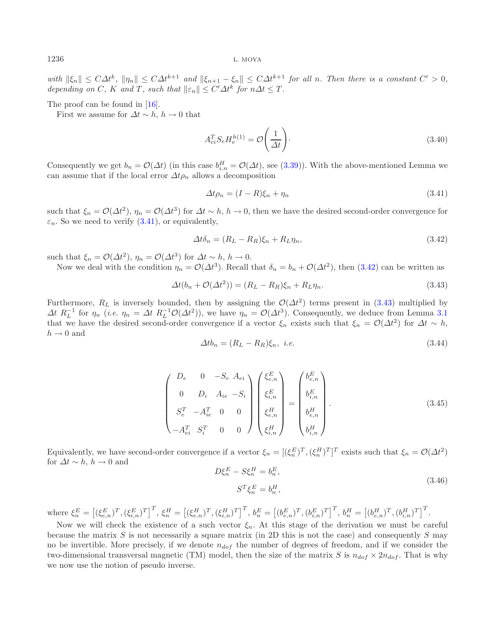*with*  $\|\xi_n\| \leq C\Delta t^k$ ,  $\|\eta_n\| \leq C\Delta t^{k+1}$  *and*  $\|\xi_{n+1} - \xi_n\| \leq C\Delta t^{k+1}$  *for all n. Then there is a constant*  $C' > 0$ , *depending on* C, K and T, such that  $||\varepsilon_n|| \leq C' \Delta t^k$  for  $n\Delta t \leq T$ .

The proof can be found in [\[16\]](#page-20-13).

First we assume for  $\Delta t \sim h$ ,  $h \to 0$  that

<span id="page-11-2"></span><span id="page-11-1"></span><span id="page-11-0"></span>
$$
A_{ei}^T S_e H_e^{h(1)} = \mathcal{O}\left(\frac{1}{\Delta t}\right). \tag{3.40}
$$

Consequently we get  $b_n = \mathcal{O}(\Delta t)$  (in this case  $b_{i,n}^H = \mathcal{O}(\Delta t)$ , see [\(3.39\)](#page-10-1)). With the above-mentioned Lemma we can assume that if the local error  $\Delta t \rho_n$  allows a decomposition

$$
\Delta t \rho_n = (I - R)\xi_n + \eta_n \tag{3.41}
$$

such that  $\xi_n = \mathcal{O}(\Delta t^2)$ ,  $\eta_n = \mathcal{O}(\Delta t^3)$  for  $\Delta t \sim h$ ,  $h \to 0$ , then we have the desired second-order convergence for  $\varepsilon_n$ . So we need to verify [\(3.41\)](#page-11-0), or equivalently,

$$
\Delta t \delta_n = (R_L - R_R)\xi_n + R_L \eta_n,\tag{3.42}
$$

such that  $\xi_n = \mathcal{O}(\Delta t^2)$ ,  $\eta_n = \mathcal{O}(\Delta t^3)$  for  $\Delta t \sim h$ ,  $h \to 0$ .

Now we deal with the condition  $\eta_n = \mathcal{O}(\Delta t^3)$ . Recall that  $\delta_n = b_n + \mathcal{O}(\Delta t^2)$ , then [\(3.42\)](#page-11-1) can be written as

$$
\Delta t(b_n + \mathcal{O}(\Delta t^2)) = (R_L - R_R)\xi_n + R_L\eta_n. \tag{3.43}
$$

<span id="page-11-3"></span>Furthermore,  $R_L$  is inversely bounded, then by assigning the  $\mathcal{O}(\Delta t^2)$  terms present in [\(3.43\)](#page-11-2) multiplied by  $\Delta t$   $R_L^{-1}$  for  $\eta_n$  (*i.e.*  $\eta_n = \Delta t$   $R_L^{-1} \mathcal{O}(\Delta t^2)$ ), we have  $\eta_n = \mathcal{O}(\Delta t^3)$ . Consequently, we deduce from Lemma [3.1](#page-10-2) that we have the desired second-order convergence if a vector  $\xi_n$  exists such that  $\xi_n = \mathcal{O}(\Delta t^2)$  for  $\Delta t \sim h$ ,  $h \rightarrow 0$  and

$$
\Delta t b_n = (R_L - R_R)\xi_n, \ i.e. \tag{3.44}
$$

$$
\begin{pmatrix}\nD_e & 0 & -S_e & A_{ei} \\
0 & D_i & A_{ie} & -S_i \\
S_e^T & -A_{ie}^T & 0 & 0 \\
-A_{ei}^T & S_i^T & 0 & 0\n\end{pmatrix}\n\begin{pmatrix}\n\xi_{e,n}^E \\
\xi_{i,n}^E \\
\xi_{e,n}^H \\
\xi_{i,n}^H\n\end{pmatrix} =\n\begin{pmatrix}\nb_{e,n}^E \\
b_{i,n}^E \\
b_{i,n}^H \\
b_{i,n}^H\n\end{pmatrix}.
$$
\n(3.45)

Equivalently, we have second-order convergence if a vector  $\xi_n = [(\xi_n^E)^T, (\xi_n^H)^T]^T$  exists such that  $\xi_n = \mathcal{O}(\Delta t^2)$ for  $\Delta t \sim h$ ,  $h \to 0$  and

$$
D\xi_n^E - S\xi_n^H = b_n^E,
$$
  
\n
$$
S^T\xi_n^E = b_n^H,
$$
\n(3.46)

where  $\xi_n^E = \left[ (\xi_{e,n}^E)^T, (\xi_{i,n}^E)^T \right]^T, \xi_n^H = \left[ (\xi_{e,n}^H)^T, (\xi_{i,n}^H)^T \right]^T, b_n^E = \left[ (b_{e,n}^E)^T, (b_{i,n}^E)^T \right]^T, b_n^H = \left[ (b_{e,n}^H)^T, (b_{i,n}^H)^T \right]^T$ .

Now we will check the existence of a such vector  $\xi_n$ . At this stage of the derivation we must be careful because the matrix  $S$  is not necessarily a square matrix (in 2D this is not the case) and consequently  $S$  may no be invertible. More precisely, if we denote  $n_{dof}$  the number of degrees of freedom, and if we consider the two-dimensional transversal magnetic (TM) model, then the size of the matrix S is  $n_{dof} \times 2n_{dof}$ . That is why we now use the notion of pseudo inverse.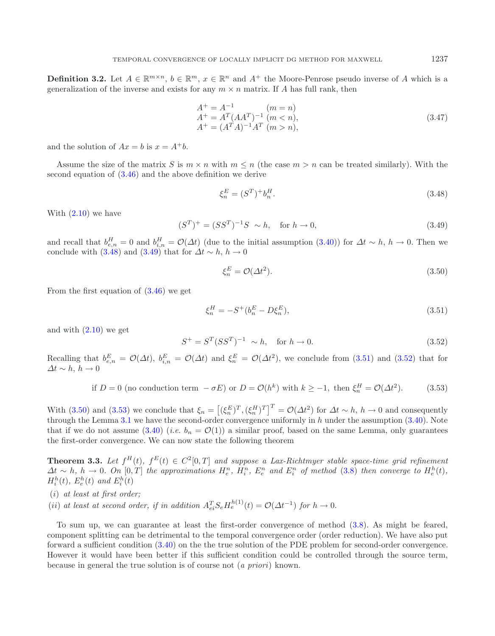<span id="page-12-1"></span>**Definition 3.2.** Let  $A \in \mathbb{R}^{m \times n}$ ,  $b \in \mathbb{R}^m$ ,  $x \in \mathbb{R}^n$  and  $A^+$  the Moore-Penrose pseudo inverse of A which is a generalization of the inverse and exists for any  $m \times n$  matrix. If A has full rank, then

<span id="page-12-4"></span><span id="page-12-0"></span>
$$
A^{+} = A^{-1} \t (m = n)
$$
  
\n
$$
A^{+} = A^{T} (A A^{T})^{-1} (m < n),
$$
  
\n
$$
A^{+} = (A^{T} A)^{-1} A^{T} (m > n),
$$
\n(3.47)

and the solution of  $Ax = b$  is  $x = A^+b$ .

Assume the size of the matrix S is  $m \times n$  with  $m \leq n$  (the case  $m > n$  can be treated similarly). With the second equation of [\(3.46\)](#page-11-3) and the above definition we derive

$$
\xi_n^E = (S^T)^+ b_n^H. \tag{3.48}
$$

<span id="page-12-3"></span>With  $(2.10)$  we have

<span id="page-12-2"></span>
$$
(S^T)^+ = (SS^T)^{-1}S \sim h, \text{ for } h \to 0,
$$
\n(3.49)

<span id="page-12-5"></span>and recall that  $b_{e,n}^H = 0$  and  $b_{i,n}^H = \mathcal{O}(\Delta t)$  (due to the initial assumption  $(3.40)$ ) for  $\Delta t \sim h$ ,  $h \to 0$ . Then we conclude with [\(3.48\)](#page-12-0) and [\(3.49\)](#page-12-1) that for  $\Delta t \sim h, h \to 0$ 

$$
\xi_n^E = \mathcal{O}(\Delta t^2). \tag{3.50}
$$

From the first equation of [\(3.46\)](#page-11-3) we get

$$
\xi_n^H = -S^+(b_n^E - D\xi_n^E),\tag{3.51}
$$

and with  $(2.10)$  we get

$$
S^{+} = S^{T}(SS^{T})^{-1} \sim h, \text{ for } h \to 0.
$$
 (3.52)

Recalling that  $b_{e,n}^E = \mathcal{O}(\Delta t)$ ,  $b_{i,n}^E = \mathcal{O}(\Delta t)$  and  $\xi_n^E = \mathcal{O}(\Delta t^2)$ , we conclude from [\(3.51\)](#page-12-2) and [\(3.52\)](#page-12-3) that for  $\Delta t \sim h, h \to 0$ 

if 
$$
D = 0
$$
 (no conduction term  $-\sigma E$ ) or  $D = \mathcal{O}(h^k)$  with  $k \ge -1$ , then  $\xi_n^H = \mathcal{O}(\Delta t^2)$ . (3.53)

With [\(3.50\)](#page-12-4) and [\(3.53\)](#page-12-5) we conclude that  $\xi_n = [(\xi_n^E)^T, (\xi_n^H)^T]^T = \mathcal{O}(\Delta t^2)$  for  $\Delta t \sim h$ ,  $h \to 0$  and consequently through the Lemma [3.1](#page-10-2) we have the second-order convergence uniformly in  $h$  under the assumption [\(3.40\)](#page-10-3). Note that if we do not assume  $(3.40)$  (*i.e.*  $b_n = \mathcal{O}(1)$ ) a similar proof, based on the same Lemma, only guarantees the first-order convergence. We can now state the following theorem

**Theorem 3.3.** *Let*  $f^H(t)$ *,*  $f^E(t) \in C^2[0,T]$  *and suppose a Lax-Richtmyer stable space-time grid refinement*  $\Delta t \sim h, h \to 0$ . On  $[0, T]$  the approximations  $H_e^n$ ,  $H_i^n$ ,  $E_e^n$  and  $E_i^n$  of method [\(3.8\)](#page-4-1) then converge to  $H_e^h(t)$ ,  $H_i^h(t)$ ,  $E_e^h(t)$  and  $E_i^h(t)$ 

- (i) *at least at first order;*
- (ii) at least at second order, if in addition  $A_{ei}^T S_e H_e^{h(1)}(t) = \mathcal{O}(\Delta t^{-1})$  for  $h \to 0$ .

To sum up, we can guarantee at least the first-order convergence of method [\(3.8\)](#page-4-1). As might be feared, component splitting can be detrimental to the temporal convergence order (order reduction). We have also put forward a sufficient condition [\(3.40\)](#page-10-3) on the the true solution of the PDE problem for second-order convergence. However it would have been better if this sufficient condition could be controlled through the source term, because in general the true solution is of course not (*a priori*) known.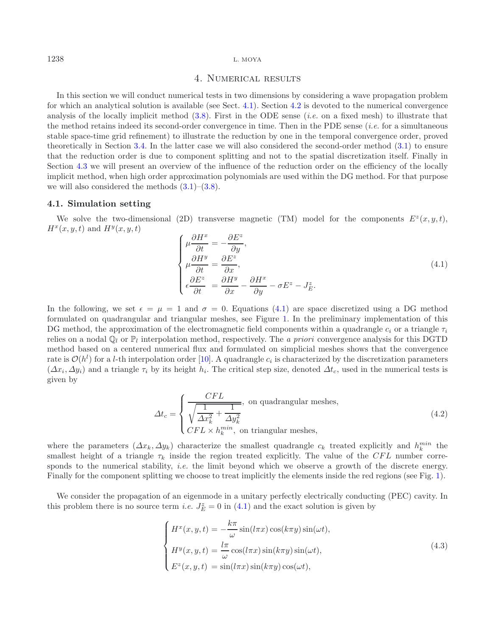<span id="page-13-0"></span>

# 4. Numerical results

<span id="page-13-2"></span>In this section we will conduct numerical tests in two dimensions by considering a wave propagation problem for which an analytical solution is available (see Sect. [4.1\)](#page-13-1). Section [4.2](#page-15-0) is devoted to the numerical convergence analysis of the locally implicit method [\(3.8\)](#page-4-1). First in the ODE sense (*i.e.* on a fixed mesh) to illustrate that the method retains indeed its second-order convergence in time. Then in the PDE sense (*i.e.* for a simultaneous stable space-time grid refinement) to illustrate the reduction by one in the temporal convergence order, proved theoretically in Section [3.4.](#page-5-5) In the latter case we will also considered the second-order method [\(3.1\)](#page-3-2) to ensure that the reduction order is due to component splitting and not to the spatial discretization itself. Finally in Section [4.3](#page-16-0) we will present an overview of the influence of the reduction order on the efficiency of the locally implicit method, when high order approximation polynomials are used within the DG method. For that purpose we will also considered the methods  $(3.1)$ – $(3.8)$ .

### <span id="page-13-1"></span>**4.1. Simulation setting**

We solve the two-dimensional (2D) transverse magnetic (TM) model for the components  $E^z(x, y, t)$ ,  $H^x(x, y, t)$  and  $H^y(x, y, t)$ 

$$
\begin{cases}\n\mu \frac{\partial H^x}{\partial t} = -\frac{\partial E^z}{\partial y}, \\
\mu \frac{\partial H^y}{\partial t} = \frac{\partial E^z}{\partial x}, \\
\epsilon \frac{\partial E^z}{\partial t} = \frac{\partial H^y}{\partial x} - \frac{\partial H^x}{\partial y} - \sigma E^z - J_E^z.\n\end{cases}
$$
\n(4.1)

In the following, we set  $\epsilon = \mu = 1$  and  $\sigma = 0$ . Equations [\(4.1\)](#page-13-2) are space discretized using a DG method formulated on quadrangular and triangular meshes, see Figure [1.](#page-14-0) In the preliminary implementation of this DG method, the approximation of the electromagnetic field components within a quadrangle  $c_i$  or a triangle  $\tau_i$ relies on a nodal  $\mathbb{Q}_l$  or  $\mathbb{P}_l$  interpolation method, respectively. The *a priori* convergence analysis for this DGTD method based on a centered numerical flux and formulated on simplicial meshes shows that the convergence rate is  $\mathcal{O}(h^l)$  for a *l*-th interpolation order [\[10](#page-20-2)]. A quadrangle  $c_i$  is characterized by the discretization parameters  $(\Delta x_i, \Delta y_i)$  and a triangle  $\tau_i$  by its height  $h_i$ . The critical step size, denoted  $\Delta t_c$ , used in the numerical tests is given by

<span id="page-13-4"></span>
$$
\Delta t_c = \begin{cases}\n\frac{CFL}{\sqrt{\frac{1}{\Delta x_k^2} + \frac{1}{\Delta y_k^2}}}, & \text{on quadrangular meshes,} \\
CFL \times h_k^{min}, & \text{on triangular meshes,}\n\end{cases}
$$
\n(4.2)

<span id="page-13-3"></span>where the parameters  $(\Delta x_k, \Delta y_k)$  characterize the smallest quadrangle  $c_k$  treated explicitly and  $h_k^{min}$  the smallest height of a triangle  $\tau_k$  inside the region treated explicitly. The value of the CFL number corresponds to the numerical stability, *i.e.* the limit beyond which we observe a growth of the discrete energy. Finally for the component splitting we choose to treat implicitly the elements inside the red regions (see Fig. [1\)](#page-14-0).

We consider the propagation of an eigenmode in a unitary perfectly electrically conducting (PEC) cavity. In this problem there is no source term *i.e.*  $J_E^z = 0$  in [\(4.1\)](#page-13-2) and the exact solution is given by

$$
\begin{cases}\nH^x(x, y, t) = -\frac{k\pi}{\omega}\sin(l\pi x)\cos(k\pi y)\sin(\omega t), \\
H^y(x, y, t) = \frac{l\pi}{\omega}\cos(l\pi x)\sin(k\pi y)\sin(\omega t), \\
E^z(x, y, t) = \sin(l\pi x)\sin(k\pi y)\cos(\omega t),\n\end{cases}
$$
\n(4.3)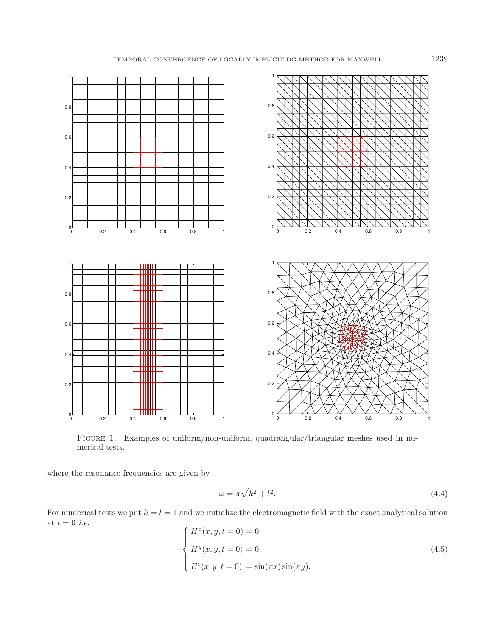

<span id="page-14-0"></span>FIGURE 1. Examples of uniform/non-uniform, quadrangular/triangular meshes used in numerical tests.

where the resonance frequencies are given by

$$
\omega = \pi \sqrt{k^2 + l^2}.\tag{4.4}
$$

For numerical tests we put  $k = l = 1$  and we initialize the electromagnetic field with the exact analytical solution at  $t = 0$  *i.e.* 

$$
\begin{cases}\nH^x(x, y, t = 0) = 0, \\
H^y(x, y, t = 0) = 0, \\
E^z(x, y, t = 0) = \sin(\pi x)\sin(\pi y).\n\end{cases}
$$
\n(4.5)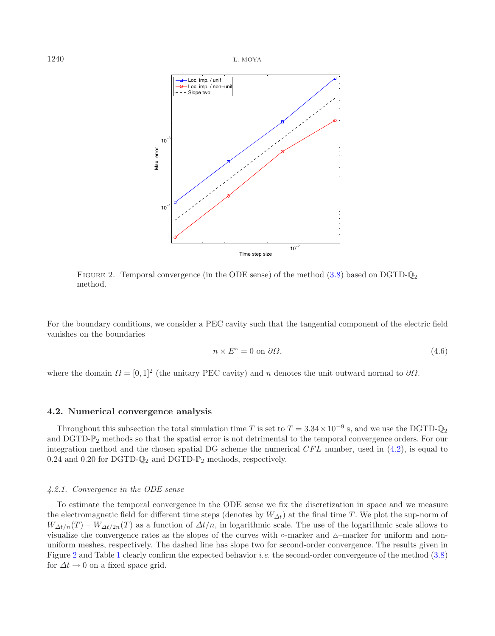

<span id="page-15-1"></span>FIGURE 2. Temporal convergence (in the ODE sense) of the method  $(3.8)$  based on DGTD- $\mathbb{Q}_2$ method.

For the boundary conditions, we consider a PEC cavity such that the tangential component of the electric field vanishes on the boundaries

$$
n \times E^z = 0 \text{ on } \partial \Omega,
$$
\n(4.6)

where the domain  $\Omega = [0, 1]^2$  (the unitary PEC cavity) and n denotes the unit outward normal to  $\partial\Omega$ .

### <span id="page-15-0"></span>**4.2. Numerical convergence analysis**

Throughout this subsection the total simulation time T is set to  $T = 3.34 \times 10^{-9}$  s, and we use the DGTD- $\mathbb{Q}_2$ and DGTD- $\mathbb{P}_2$  methods so that the spatial error is not detrimental to the temporal convergence orders. For our integration method and the chosen spatial DG scheme the numerical  $CFL$  number, used in  $(4.2)$ , is equal to 0.24 and 0.20 for DGTD- $\mathbb{Q}_2$  and DGTD- $\mathbb{P}_2$  methods, respectively.

#### *4.2.1. Convergence in the ODE sense*

To estimate the temporal convergence in the ODE sense we fix the discretization in space and we measure the electromagnetic field for different time steps (denotes by  $W_{\Delta t}$ ) at the final time T. We plot the sup-norm of  $W_{\Delta t/n}(T) - W_{\Delta t/2n}(T)$  as a function of  $\Delta t/n$ , in logarithmic scale. The use of the logarithmic scale allows to visualize the convergence rates as the slopes of the curves with  $\circ$ -marker and  $\triangle$ -marker for uniform and nonuniform meshes, respectively. The dashed line has slope two for second-order convergence. The results given in Figure [2](#page-15-1) and Table [1](#page-16-1) clearly confirm the expected behavior *i.e.* the second-order convergence of the method [\(3.8\)](#page-4-1) for  $\Delta t \rightarrow 0$  on a fixed space grid.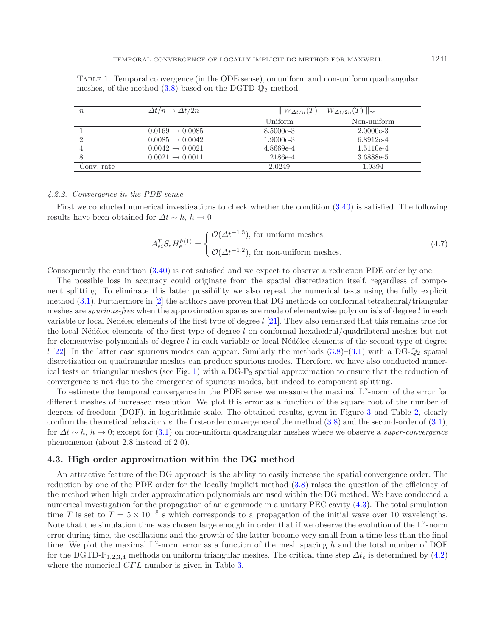| $\it{n}$   | $\Delta t/n \rightarrow \Delta t/2n$ | $\ W_{\Delta t/n}(T) - W_{\Delta t/2n}(T)\ _{\infty}$ |             |  |
|------------|--------------------------------------|-------------------------------------------------------|-------------|--|
|            |                                      | Uniform                                               | Non-uniform |  |
|            | $0.0169 \rightarrow 0.0085$          | 8.5000e-3                                             | $2.0000e-3$ |  |
|            | $0.0085 \rightarrow 0.0042$          | $1.9000e-3$                                           | $6.8912e-4$ |  |
|            | $0.0042 \rightarrow 0.0021$          | 4.8669e-4                                             | 1.5110e-4   |  |
|            | $0.0021 \rightarrow 0.0011$          | 1.2186e-4                                             | 3.6888e-5   |  |
| Conv. rate |                                      | 2.0249                                                | 1.9394      |  |

<span id="page-16-1"></span>Table 1. Temporal convergence (in the ODE sense), on uniform and non-uniform quadrangular meshes, of the method  $(3.8)$  based on the DGTD- $\mathbb{Q}_2$  method.

#### *4.2.2. Convergence in the PDE sense*

First we conducted numerical investigations to check whether the condition [\(3.40\)](#page-10-3) is satisfied. The following results have been obtained for  $\Delta t \sim h$ ,  $h \to 0$ 

$$
A_{ei}^T S_e H_e^{h(1)} = \begin{cases} \mathcal{O}(\Delta t^{-1.3}), \text{ for uniform meshes,} \\ \mathcal{O}(\Delta t^{-1.2}), \text{ for non-uniform meshes.} \end{cases}
$$
 (4.7)

Consequently the condition [\(3.40\)](#page-10-3) is not satisfied and we expect to observe a reduction PDE order by one.

The possible loss in accuracy could originate from the spatial discretization itself, regardless of component splitting. To eliminate this latter possibility we also repeat the numerical tests using the fully explicit method [\(3.1\)](#page-3-2). Furthermore in [\[2\]](#page-20-14) the authors have proven that DG methods on conformal tetrahedral/triangular meshes are *spurious-free* when the approximation spaces are made of elementwise polynomials of degree l in each variable or local Nédélec elements of the first type of degree  $l$  [\[21\]](#page-21-6). They also remarked that this remains true for the local Nédélec elements of the first type of degree l on conformal hexahedral/quadrilateral meshes but not for elementwise polynomials of degree  $l$  in each variable or local Nédélec elements of the second type of degree  $l$  [\[22\]](#page-21-7). In the latter case spurious modes can appear. Similarly the methods  $(3.8)$ – $(3.1)$  with a DG- $\mathbb{Q}_2$  spatial discretization on quadrangular meshes can produce spurious modes. Therefore, we have also conducted numer-ical tests on triangular meshes (see Fig. [1\)](#page-14-0) with a DG- $\mathbb{P}_2$  spatial approximation to ensure that the reduction of convergence is not due to the emergence of spurious modes, but indeed to component splitting.

To estimate the temporal convergence in the PDE sense we measure the maximal  $L^2$ -norm of the error for different meshes of increased resolution. We plot this error as a function of the square root of the number of degrees of freedom (DOF), in logarithmic scale. The obtained results, given in Figure [3](#page-17-0) and Table [2,](#page-17-1) clearly confirm the theoretical behavior *i.e.* the first-order convergence of the method [\(3.8\)](#page-4-1) and the second-order of [\(3.1\)](#page-3-2), for Δt <sup>∼</sup> <sup>h</sup>, <sup>h</sup> <sup>→</sup> 0; except for [\(3.1\)](#page-3-2) on non-uniform quadrangular meshes where we observe a *super-convergence* phenomenon (about 2.8 instead of 2.0).

### <span id="page-16-0"></span>**4.3. High order approximation within the DG method**

An attractive feature of the DG approach is the ability to easily increase the spatial convergence order. The reduction by one of the PDE order for the locally implicit method [\(3.8\)](#page-4-1) raises the question of the efficiency of the method when high order approximation polynomials are used within the DG method. We have conducted a numerical investigation for the propagation of an eigenmode in a unitary PEC cavity [\(4.3\)](#page-13-4). The total simulation time T is set to  $T = 5 \times 10^{-8}$  s which corresponds to a propagation of the initial wave over 10 wavelengths. Note that the simulation time was chosen large enough in order that if we observe the evolution of the  $L^2$ -norm error during time, the oscillations and the growth of the latter become very small from a time less than the final time. We plot the maximal  $L^2$ -norm error as a function of the mesh spacing h and the total number of DOF for the DGTD- $\mathbb{P}_{1,2,3,4}$  methods on uniform triangular meshes. The critical time step  $\Delta t_c$  is determined by [\(4.2\)](#page-13-3) where the numerical *CFL* number is given in Table [3.](#page-17-2)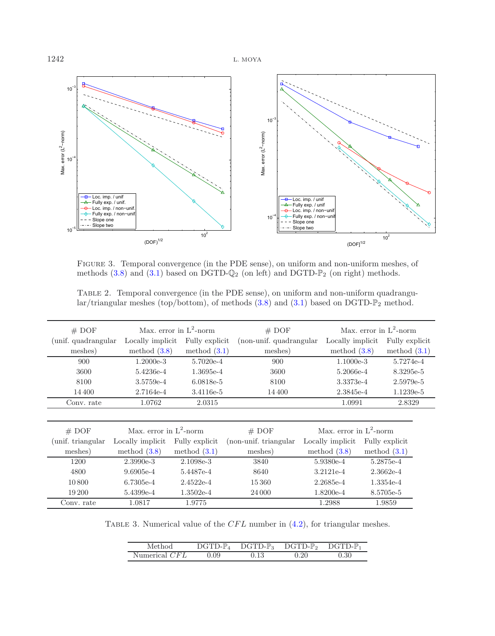<span id="page-17-0"></span>

<span id="page-17-1"></span>Figure 3. Temporal convergence (in the PDE sense), on uniform and non-uniform meshes, of methods  $(3.8)$  and  $(3.1)$  based on DGTD- $\mathbb{Q}_2$  (on left) and DGTD- $\mathbb{P}_2$  (on right) methods.

TABLE 2. Temporal convergence (in the PDE sense), on uniform and non-uniform quadrangular/triangular meshes (top/bottom), of methods  $(3.8)$  and  $(3.1)$  based on DGTD- $\mathbb{P}_2$  method.

<span id="page-17-2"></span>

| # DOF                | Max. error in $L^2$ -norm |                | # DOF                   |                   | Max. error in $L^2$ -norm |                |
|----------------------|---------------------------|----------------|-------------------------|-------------------|---------------------------|----------------|
| (unif. quadrangular) | Locally implicit.         | Fully explicit | (non-unif. quadrangular | Locally implicit. |                           | Fully explicit |
| meshes)              | method $(3.8)$            | method $(3.1)$ | meshes)                 | method $(3.8)$    |                           | method $(3.1)$ |
| 900                  | $1.2000e-3$               | 5.7020e-4      | 900                     | $1.1000e-3$       |                           | 5.7274e-4      |
| 3600                 | 5.4236e-4                 | 1.3695e-4      | 3600                    | 5.2066e-4         |                           | 8.3295e-5      |
| 8100                 | 3.5759e-4                 | 6.0818e-5      | 8100                    | 3.3373e-4         |                           | 2.5979e-5      |
| 14 400               | 2.7164e-4                 | 3.4116e-5      | 14 400                  | 2.3845e-4         |                           | 1.1239e-5      |
| Conv. rate           | 1.0762                    | 2.0315         |                         | 1.0991            |                           | 2.8329         |
|                      |                           |                |                         |                   |                           |                |
| # DOF                | Max. error in $L^2$ -norm |                | # DOF                   |                   | Max. error in $L^2$ -norm |                |
| (unif. triangular)   | Locally implicit.         | Fully explicit | (non-unif. triangular)  | Locally implicit. |                           | Fully explicit |
| meshes)              | method $(3.8)$            | method $(3.1)$ | meshes)                 | method $(3.8)$    |                           | method $(3.1)$ |
| 1200                 | $2.3990e-3$               | 2.1098e-3      | 3840                    | 5.9380e-4         |                           | 5.2875e-4      |
| 4800                 | $9.6905e-4$               | 5.4487e-4      | 8640                    | 3.2121e-4         |                           | $2.3662e-4$    |
| 10800                | 6.7305e-4                 | $2.4522e-4$    | 15360                   | 2.2685e-4         |                           | 1.3354e-4      |
| 19 200               | 5.4399e-4                 | $1.3502e-4$    | 24 000                  | $1.8200e-4$       |                           | 8.5705e-5      |
| Conv. rate           | 1.0817                    | 1.9775         |                         | 1.2988            |                           | 1.9859         |

TABLE 3. Numerical value of the  $CFL$  number in  $(4.2)$ , for triangular meshes.

| Method        | $\mathcal{D} \text{GTD-P}_{4}$ | $DGTD-P_3$ | $DGTD-P_2$ | $DGTD-P$ |
|---------------|--------------------------------|------------|------------|----------|
| Numerical CFL | .09                            |            | 0.20       | ).30     |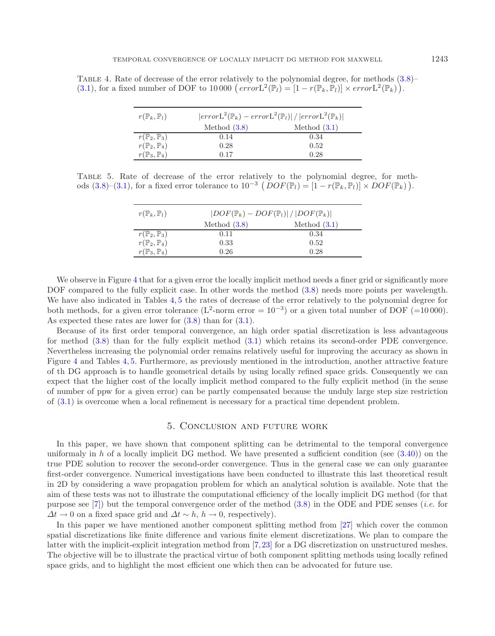<span id="page-18-2"></span><span id="page-18-1"></span>TABLE 4. Rate of decrease of the error relatively to the polynomial degree, for methods  $(3.8)$ – [\(3.1\)](#page-3-2), for a fixed number of DOF to 10000  $\left(\text{error}_2^2(\mathbb{P}_l) = [1 - r(\mathbb{P}_k, \mathbb{P}_l)] \times \text{error}_2^2(\mathbb{P}_k)\right)$ .

| $r(\mathbb{P}_k,\mathbb{P}_l)$ | $ errorL^2(\mathbb{P}_k) - errorL^2(\mathbb{P}_l)  /  errorL^2(\mathbb{P}_k) $ |                |  |
|--------------------------------|--------------------------------------------------------------------------------|----------------|--|
|                                | Method $(3.8)$                                                                 | Method $(3.1)$ |  |
| $r(\mathbb{P}_2,\mathbb{P}_3)$ | 0.14                                                                           | 0.34           |  |
| $r(\mathbb{P}_2,\mathbb{P}_4)$ | 0.28                                                                           | 0.52           |  |
| $r(\mathbb{P}_3,\mathbb{P}_4)$ | 0.17                                                                           | 0.28           |  |

Table 5. Rate of decrease of the error relatively to the polynomial degree, for meth-ods [\(3.8\)](#page-4-1)–[\(3.1\)](#page-3-2), for a fixed error tolerance to  $10^{-3} (DOF(\mathbb{P}_l) = [1 - r(\mathbb{P}_k, \mathbb{P}_l)] \times DOF(\mathbb{P}_k))$ .

| $r(\mathbb{P}_k,\mathbb{P}_l)$ | $ DOF(\mathbb{P}_k) - DOF(\mathbb{P}_l)  /  DOF(\mathbb{P}_k) $ |                |  |
|--------------------------------|-----------------------------------------------------------------|----------------|--|
|                                | Method $(3.8)$                                                  | Method $(3.1)$ |  |
| $r(\mathbb{P}_2,\mathbb{P}_3)$ | 0.11                                                            | 0.34           |  |
| $r(\mathbb{P}_2,\mathbb{P}_4)$ | 0.33                                                            | 0.52           |  |
| $r(\mathbb{P}_3,\mathbb{P}_4)$ | 0.26                                                            | 0.28           |  |

We observe in Figure [4](#page-19-0) that for a given error the locally implicit method needs a finer grid or significantly more DOF compared to the fully explicit case. In other words the method  $(3.8)$  needs more points per wavelength. We have also indicated in Tables [4,](#page-18-1) [5](#page-18-2) the rates of decrease of the error relatively to the polynomial degree for both methods, for a given error tolerance (L<sup>2</sup>-norm error =  $10^{-3}$ ) or a given total number of DOF (=10 000). As expected these rates are lower for  $(3.8)$  than for  $(3.1)$ .

Because of its first order temporal convergence, an high order spatial discretization is less advantageous for method [\(3.8\)](#page-4-1) than for the fully explicit method [\(3.1\)](#page-3-2) which retains its second-order PDE convergence. Nevertheless increasing the polynomial order remains relatively useful for improving the accuracy as shown in Figure [4](#page-19-0) and Tables [4,](#page-18-1) [5.](#page-18-2) Furthermore, as previously mentioned in the introduction, another attractive feature of th DG approach is to handle geometrical details by using locally refined space grids. Consequently we can expect that the higher cost of the locally implicit method compared to the fully explicit method (in the sense of number of ppw for a given error) can be partly compensated because the unduly large step size restriction of [\(3.1\)](#page-3-2) is overcome when a local refinement is necessary for a practical time dependent problem.

### 5. Conclusion and future work

<span id="page-18-0"></span>In this paper, we have shown that component splitting can be detrimental to the temporal convergence uniformaly in h of a locally implicit DG method. We have presented a sufficient condition (see  $(3.40)$ ) on the true PDE solution to recover the second-order convergence. Thus in the general case we can only guarantee first-order convergence. Numerical investigations have been conducted to illustrate this last theoretical result in 2D by considering a wave propagation problem for which an analytical solution is available. Note that the aim of these tests was not to illustrate the computational efficiency of the locally implicit DG method (for that purpose see [\[7](#page-20-12)]) but the temporal convergence order of the method [\(3.8\)](#page-4-1) in the ODE and PDE senses (*i.e.* for  $\Delta t \to 0$  on a fixed space grid and  $\Delta t \sim h$ ,  $h \to 0$ , respectively).

In this paper we have mentioned another component splitting method from [\[27\]](#page-21-5) which cover the common spatial discretizations like finite difference and various finite element discretizations. We plan to compare the latter with the implicit-explicit integration method from [\[7](#page-20-12),[23\]](#page-21-4) for a DG discretization on unstructured meshes. The objective will be to illustrate the practical virtue of both component splitting methods using locally refined space grids, and to highlight the most efficient one which then can be advocated for future use.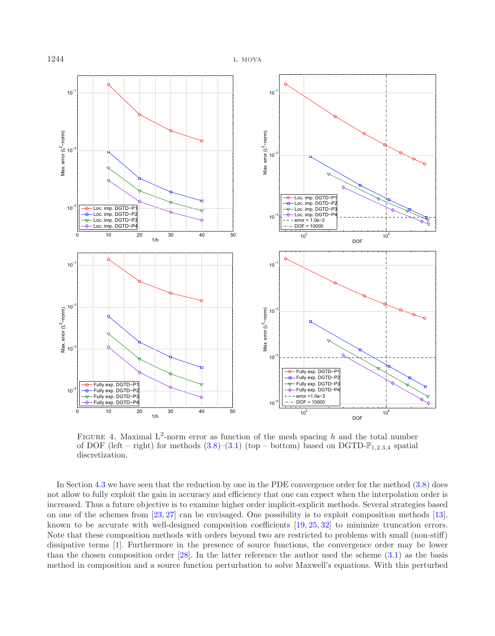

<span id="page-19-0"></span>FIGURE 4. Maximal  $L^2$ -norm error as function of the mesh spacing h and the total number of DOF (left – right) for methods  $(3.8)$ – $(3.1)$  (top – bottom) based on DGTD- $\mathbb{P}_{1,2,3,4}$  spatial discretization.

In Section [4.3](#page-16-0) we have seen that the reduction by one in the PDE convergence order for the method [\(3.8\)](#page-4-1) does not allow to fully exploit the gain in accuracy and efficiency that one can expect when the interpolation order is increased. Thus a future objective is to examine higher order implicit-explicit methods. Several strategies based on one of the schemes from [\[23,](#page-21-4) [27](#page-21-5)] can be envisaged. One possibility is to exploit composition methods [\[13](#page-20-15)], known to be accurate with well-designed composition coefficients [\[19,](#page-20-16) [25](#page-21-8), [32](#page-21-9)] to minimize truncation errors. Note that these composition methods with orders beyond two are restricted to problems with small (non-stiff) dissipative terms [\[1\]](#page-20-8). Furthermore in the presence of source functions, the convergence order may be lower than the chosen composition order [\[28](#page-21-10)]. In the latter reference the author used the scheme [\(3.1\)](#page-3-2) as the basis method in composition and a source function perturbation to solve Maxwell's equations. With this perturbed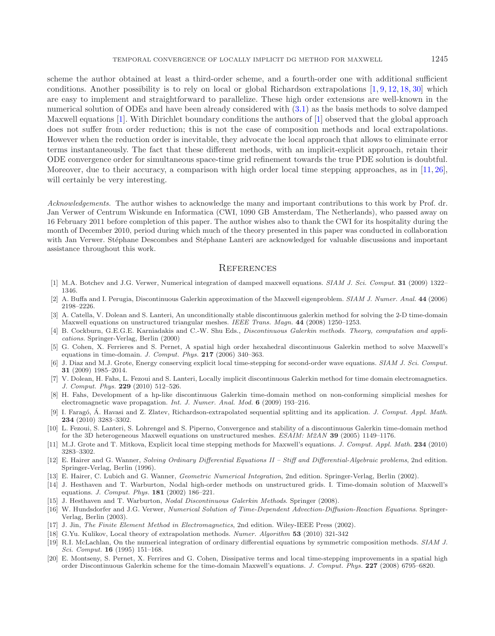scheme the author obtained at least a third-order scheme, and a fourth-order one with additional sufficient conditions. Another possibility is to rely on local or global Richardson extrapolations [\[1,](#page-20-8) [9](#page-20-17), [12,](#page-20-18) [18,](#page-20-19) [30](#page-21-11)] which are easy to implement and straightforward to parallelize. These high order extensions are well-known in the numerical solution of ODEs and have been already considered with [\(3.1\)](#page-3-2) as the basis methods to solve damped Maxwell equations [\[1](#page-20-8)]. With Dirichlet boundary conditions the authors of [\[1\]](#page-20-8) observed that the global approach does not suffer from order reduction; this is not the case of composition methods and local extrapolations. However when the reduction order is inevitable, they advocate the local approach that allows to eliminate error terms instantaneously. The fact that these different methods, with an implicit-explicit approach, retain their ODE convergence order for simultaneous space-time grid refinement towards the true PDE solution is doubtful. Moreover, due to their accuracy, a comparison with high order local time stepping approaches, as in [\[11,](#page-20-10) [26](#page-21-3)], will certainly be very interesting.

*Acknowledgements.* The author wishes to acknowledge the many and important contributions to this work by Prof. dr. Jan Verwer of Centrum Wiskunde en Informatica (CWI, 1090 GB Amsterdam, The Netherlands), who passed away on 16 February 2011 before completion of this paper. The author wishes also to thank the CWI for its hospitality during the month of December 2010, period during which much of the theory presented in this paper was conducted in collaboration with Jan Verwer. Stéphane Descombes and Stéphane Lanteri are acknowledged for valuable discussions and important assistance throughout this work.

# **REFERENCES**

- <span id="page-20-8"></span>[1] M.A. Botchev and J.G. Verwer, Numerical integration of damped maxwell equations. SIAM J. Sci. Comput. **31** (2009) 1322– 1346.
- <span id="page-20-14"></span>[2] A. Buffa and I. Perugia, Discontinuous Galerkin approximation of the Maxwell eigenproblem. SIAM J. Numer. Anal. **44** (2006) 2198–2226.
- <span id="page-20-7"></span>[3] A. Catella, V. Dolean and S. Lanteri, An unconditionally stable discontinuous galerkin method for solving the 2-D time-domain Maxwell equations on unstructured triangular meshes. IEEE Trans. Magn. **44** (2008) 1250–1253.
- <span id="page-20-6"></span>[4] B. Cockburn, G.E.G.E. Karniadakis and C.-W. Shu Eds., *Discontinuous Galerkin methods. Theory, computation and appli*cations. Springer-Verlag, Berlin (2000)
- <span id="page-20-1"></span>[5] G. Cohen, X. Ferrieres and S. Pernet, A spatial high order hexahedral discontinuous Galerkin method to solve Maxwell's equations in time-domain. J. Comput. Phys. **217** (2006) 340–363.
- <span id="page-20-9"></span>[6] J. Diaz and M.J. Grote, Energy conserving explicit local time-stepping for second-order wave equations. SIAM J. Sci. Comput. **31** (2009) 1985–2014.
- <span id="page-20-12"></span>[7] V. Dolean, H. Fahs, L. Fezoui and S. Lanteri, Locally implicit discontinuous Galerkin method for time domain electromagnetics. J. Comput. Phys. **229** (2010) 512–526.
- <span id="page-20-5"></span>[8] H. Fahs, Development of a hp-like discontinuous Galerkin time-domain method on non-conforming simplicial meshes for electromagnetic wave propagation. Int. J. Numer. Anal. Mod. **6** (2009) 193–216.
- [9] I. Faragó, Á. Havasi and Z. Zlatev, Richardson-extrapolated sequential splitting and its application. J. Comput. Appl. Math. **234** (2010) 3283–3302.
- <span id="page-20-17"></span><span id="page-20-2"></span>[10] L. Fezoui, S. Lanteri, S. Lohrengel and S. Piperno, Convergence and stability of a discontinuous Galerkin time-domain method for the 3D heterogeneous Maxwell equations on unstructured meshes. ESAIM: M2AN **39** (2005) 1149–1176.
- <span id="page-20-10"></span>[11] M.J. Grote and T. Mitkova, Explicit local time stepping methods for Maxwell's equations. J. Comput. Appl. Math. **234** (2010) 3283–3302.
- <span id="page-20-18"></span>[12] E. Hairer and G. Wanner, Solving Ordinary Differential Equations II – Stiff and Differential-Algebraic problems, 2nd edition. Springer-Verlag, Berlin (1996).
- <span id="page-20-15"></span>[13] E. Hairer, C. Lubich and G. Wanner, Geometric Numerical Integration, 2nd edition. Springer-Verlag, Berlin (2002).
- <span id="page-20-3"></span>[14] J. Hesthaven and T. Warburton, Nodal high-order methods on unstructured grids. I. Time-domain solution of Maxwell's equations. J. Comput. Phys. **181** (2002) 186–221.
- <span id="page-20-4"></span>[15] J. Hesthaven and T. Warburton, Nodal Discontinuous Galerkin Methods. Springer (2008).
- <span id="page-20-13"></span>[16] W. Hundsdorfer and J.G. Verwer, Numerical Solution of Time-Dependent Advection-Diffusion-Reaction Equations. Springer-Verlag, Berlin (2003).
- <span id="page-20-0"></span>[17] J. Jin, The Finite Element Method in Electromagnetics, 2nd edition. Wiley-IEEE Press (2002).
- <span id="page-20-19"></span>[18] G.Yu. Kulikov, Local theory of extrapolation methods. Numer. Algorithm **53** (2010) 321-342
- <span id="page-20-16"></span>[19] R.I. McLachlan, On the numerical integration of ordinary differential equations by symmetric composition methods. SIAM J. Sci. Comput. **16** (1995) 151–168.
- <span id="page-20-11"></span>[20] E. Montseny, S. Pernet, X. Ferrires and G. Cohen, Dissipative terms and local time-stepping improvements in a spatial high order Discontinuous Galerkin scheme for the time-domain Maxwell's equations. J. Comput. Phys. **227** (2008) 6795–6820.